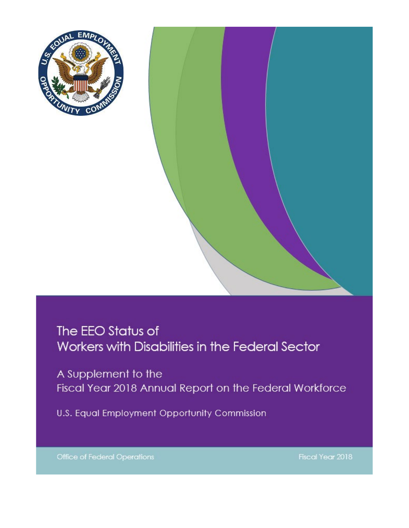

# The EEO Status of Workers with Disabilities in the Federal Sector

A Supplement to the Fiscal Year 2018 Annual Report on the Federal Workforce

U.S. Equal Employment Opportunity Commission

**Office of Federal Operations** 

Fiscal Year 2018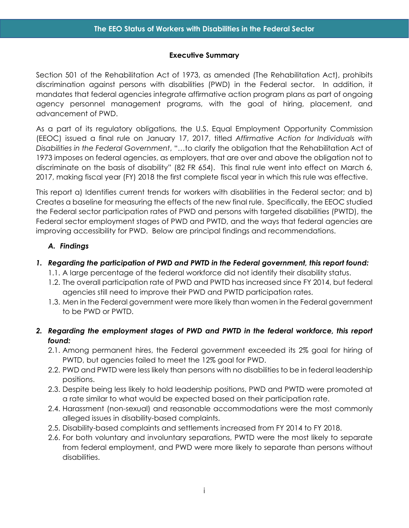#### **Executive Summary**

<span id="page-1-0"></span>Section 501 of the Rehabilitation Act of 1973, as amended (The Rehabilitation Act), prohibits discrimination against persons with disabilities (PWD) in the Federal sector. In addition, it mandates that federal agencies integrate affirmative action program plans as part of ongoing agency personnel management programs, with the goal of hiring, placement, and advancement of PWD.

As a part of its regulatory obligations, the U.S. Equal Employment Opportunity Commission (EEOC) issued a final rule on January 17, 2017, titled *Affirmative Action for Individuals with Disabilities in the Federal Government*, "…to clarify the obligation that the Rehabilitation Act of 1973 imposes on federal agencies, as employers, that are over and above the obligation not to discriminate on the basis of disability" (82 FR 654). This final rule went into effect on March 6, 2017, making fiscal year (FY) 2018 the first complete fiscal year in which this rule was effective.

This report a) Identifies current trends for workers with disabilities in the Federal sector; and b) Creates a baseline for measuring the effects of the new final rule. Specifically, the EEOC studied the Federal sector participation rates of PWD and persons with targeted disabilities (PWTD), the Federal sector employment stages of PWD and PWTD, and the ways that federal agencies are improving accessibility for PWD. Below are principal findings and recommendations.

# <span id="page-1-1"></span>*A. Findings*

# *1. Regarding the participation of PWD and PWTD in the Federal government, this report found:*

- 1.1. A large percentage of the federal workforce did not identify their disability status.
- 1.2. The overall participation rate of PWD and PWTD has increased since FY 2014, but federal agencies still need to improve their PWD and PWTD participation rates.
- 1.3. Men in the Federal government were more likely than women in the Federal government to be PWD or PWTD.
- *2. Regarding the employment stages of PWD and PWTD in the federal workforce, this report found:*
	- 2.1. Among permanent hires, the Federal government exceeded its 2% goal for hiring of PWTD, but agencies failed to meet the 12% goal for PWD.
	- 2.2. PWD and PWTD were less likely than persons with no disabilities to be in federal leadership positions.
	- 2.3. Despite being less likely to hold leadership positions, PWD and PWTD were promoted at a rate similar to what would be expected based on their participation rate.
	- 2.4. Harassment (non-sexual) and reasonable accommodations were the most commonly alleged issues in disability-based complaints.
	- 2.5. Disability-based complaints and settlements increased from FY 2014 to FY 2018.
	- 2.6. For both voluntary and involuntary separations, PWTD were the most likely to separate from federal employment, and PWD were more likely to separate than persons without disabilities.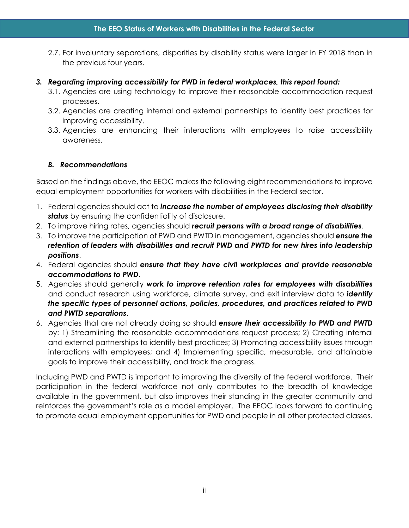- 2.7. For involuntary separations, disparities by disability status were larger in FY 2018 than in the previous four years.
- *3. Regarding improving accessibility for PWD in federal workplaces, this report found:*
	- 3.1. Agencies are using technology to improve their reasonable accommodation request processes.
	- 3.2. Agencies are creating internal and external partnerships to identify best practices for improving accessibility.
	- 3.3. Agencies are enhancing their interactions with employees to raise accessibility awareness.

#### <span id="page-2-0"></span>*B. Recommendations*

Based on the findings above, the EEOC makes the following eight recommendations to improve equal employment opportunities for workers with disabilities in the Federal sector.

- 1. Federal agencies should act to *increase the number of employees disclosing their disability*  **status** by ensuring the confidentiality of disclosure.
- 2. To improve hiring rates, agencies should *recruit persons with a broad range of disabilities*.
- 3. To improve the participation of PWD and PWTD in management, agencies should *ensure the retention of leaders with disabilities and recruit PWD and PWTD for new hires into leadership positions*.
- 4. Federal agencies should *ensure that they have civil workplaces and provide reasonable accommodations to PWD*.
- 5. Agencies should generally *work to improve retention rates for employees with disabilities*  and conduct research using workforce, climate survey, and exit interview data to *identify the specific types of personnel actions, policies, procedures, and practices related to PWD and PWTD separations*.
- 6. Agencies that are not already doing so should *ensure their accessibility to PWD and PWTD* by: 1) Streamlining the reasonable accommodations request process; 2) Creating internal and external partnerships to identify best practices; 3) Promoting accessibility issues through interactions with employees; and 4) Implementing specific, measurable, and attainable goals to improve their accessibility, and track the progress.

Including PWD and PWTD is important to improving the diversity of the federal workforce. Their participation in the federal workforce not only contributes to the breadth of knowledge available in the government, but also improves their standing in the greater community and reinforces the government's role as a model employer. The EEOC looks forward to continuing to promote equal employment opportunities for PWD and people in all other protected classes.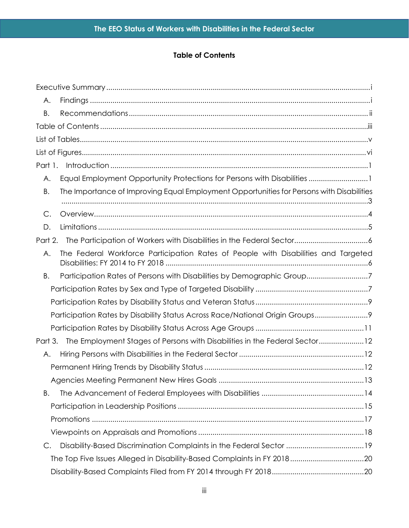# **Table of Contents**

<span id="page-3-0"></span>

| А.      |                                                                                          |  |
|---------|------------------------------------------------------------------------------------------|--|
| Β.      |                                                                                          |  |
|         |                                                                                          |  |
|         |                                                                                          |  |
|         |                                                                                          |  |
| Part 1. |                                                                                          |  |
| А.      | Equal Employment Opportunity Protections for Persons with Disabilities 1                 |  |
| Β.      | The Importance of Improving Equal Employment Opportunities for Persons with Disabilities |  |
|         |                                                                                          |  |
| C.      |                                                                                          |  |
| D.      |                                                                                          |  |
| Part 2. |                                                                                          |  |
| Α.      | The Federal Workforce Participation Rates of People with Disabilities and Targeted       |  |
| В.      | Participation Rates of Persons with Disabilities by Demographic Group7                   |  |
|         |                                                                                          |  |
|         |                                                                                          |  |
|         | Participation Rates by Disability Status Across Race/National Origin Groups 9            |  |
|         |                                                                                          |  |
| Part 3. | The Employment Stages of Persons with Disabilities in the Federal Sector12               |  |
| А.      |                                                                                          |  |
|         |                                                                                          |  |
|         |                                                                                          |  |
| Β.      |                                                                                          |  |
|         |                                                                                          |  |
|         |                                                                                          |  |
|         |                                                                                          |  |
| C.      | Disability-Based Discrimination Complaints in the Federal Sector 19                      |  |
|         |                                                                                          |  |
|         |                                                                                          |  |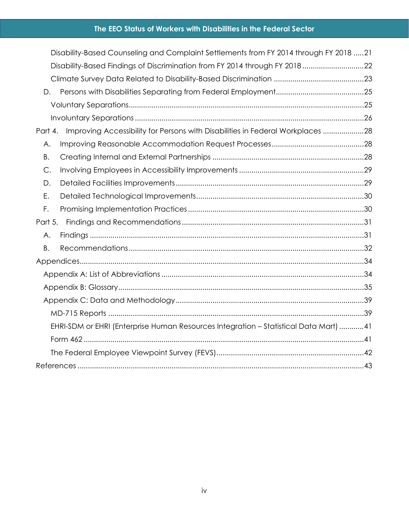# **The EEO Status of Workers with Disabilities in the Federal Sector**

|           |    | Disability-Based Counseling and Complaint Settlements from FY 2014 through FY 2018 21 |  |
|-----------|----|---------------------------------------------------------------------------------------|--|
|           |    | Disability-Based Findings of Discrimination from FY 2014 through FY 2018 22           |  |
|           |    |                                                                                       |  |
|           | D. |                                                                                       |  |
|           |    |                                                                                       |  |
|           |    |                                                                                       |  |
| Part 4.   |    | Improving Accessibility for Persons with Disabilities in Federal Workplaces 28        |  |
|           | Α. |                                                                                       |  |
|           | B. |                                                                                       |  |
|           | C. |                                                                                       |  |
|           | D. |                                                                                       |  |
| Ε.        |    |                                                                                       |  |
| F.        |    |                                                                                       |  |
| Part 5.   |    |                                                                                       |  |
|           | Α. |                                                                                       |  |
| <b>B.</b> |    |                                                                                       |  |
|           |    |                                                                                       |  |
|           |    |                                                                                       |  |
|           |    |                                                                                       |  |
|           |    |                                                                                       |  |
|           |    |                                                                                       |  |
|           |    | EHRI-SDM or EHRI (Enterprise Human Resources Integration - Statistical Data Mart) 41  |  |
|           |    |                                                                                       |  |
|           |    |                                                                                       |  |
|           |    |                                                                                       |  |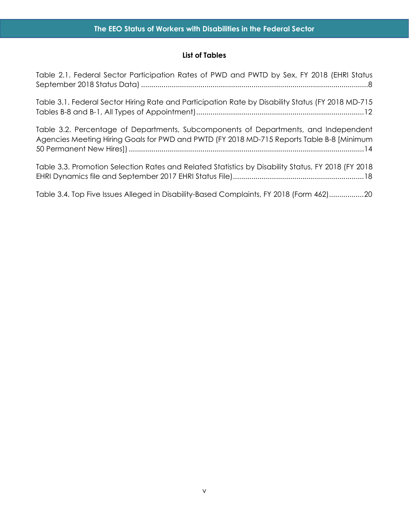## **List of Tables**

<span id="page-5-0"></span>[Table 2.1. Federal Sector Participation Rates of PWD and PWTD by Sex, FY 2018 \(EHRI Status](#page-14-0)  [September 2018 Status Data\)...............................................................................................................8](#page-14-0)

[Table 3.1. Federal Sector Hiring Rate and Participation Rate by Disability Status \(FY 2018 MD-715](#page-18-3)  [Tables B-8 and B-1, All Types of Appointment\)..................................................................................12](#page-18-3)

[Table 3.2. Percentage of Departments, Subcomponents of Departments, and Independent](#page-20-1)  [Agencies Meeting Hiring Goals for PWD and PWTD \(FY 2018 MD-715 Reports Table B-8 \[Minimum](#page-20-1)  [50 Permanent New Hires\]\)...................................................................................................................14](#page-20-1)

[Table 3.3. Promotion Selection Rates and Related Statistics by Disability Status, FY 2018 \(FY 2018](#page-24-1)  [EHRI Dynamics file and September 2017 EHRI Status File\)................................................................18](#page-24-1)

[Table 3.4. Top Five Issues Alleged in Disability-Based Complaints, FY 2018 \(Form 462\).................20](#page-26-2)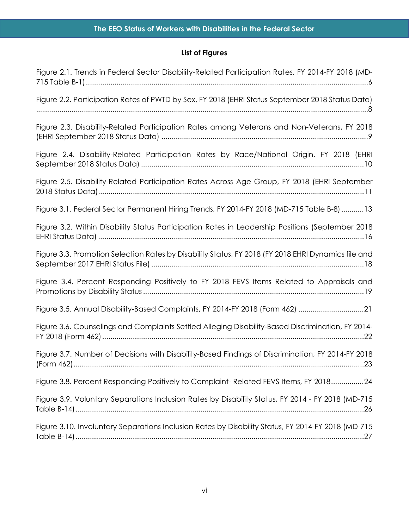# **List of Figures**

<span id="page-6-0"></span>

| Figure 2.1. Trends in Federal Sector Disability-Related Participation Rates, FY 2014-FY 2018 (MD-   |
|-----------------------------------------------------------------------------------------------------|
| Figure 2.2. Participation Rates of PWTD by Sex, FY 2018 (EHRI Status September 2018 Status Data)    |
| Figure 2.3. Disability-Related Participation Rates among Veterans and Non-Veterans, FY 2018         |
| Figure 2.4. Disability-Related Participation Rates by Race/National Origin, FY 2018 (EHRI           |
| Figure 2.5. Disability-Related Participation Rates Across Age Group, FY 2018 (EHRI September        |
| Figure 3.1. Federal Sector Permanent Hiring Trends, FY 2014-FY 2018 (MD-715 Table B-8) 13           |
| Figure 3.2. Within Disability Status Participation Rates in Leadership Positions (September 2018    |
| Figure 3.3. Promotion Selection Rates by Disability Status, FY 2018 (FY 2018 EHRI Dynamics file and |
| Figure 3.4. Percent Responding Positively to FY 2018 FEVS Items Related to Appraisals and           |
| Figure 3.5. Annual Disability-Based Complaints, FY 2014-FY 2018 (Form 462) 21                       |
| Figure 3.6. Counselings and Complaints Settled Alleging Disability-Based Discrimination, FY 2014-   |
| Figure 3.7. Number of Decisions with Disability-Based Findings of Discrimination, FY 2014-FY 2018   |
| Figure 3.8. Percent Responding Positively to Complaint-Related FEVS Items, FY 201824                |
| Figure 3.9. Voluntary Separations Inclusion Rates by Disability Status, FY 2014 - FY 2018 (MD-715   |
| Figure 3.10. Involuntary Separations Inclusion Rates by Disability Status, FY 2014-FY 2018 (MD-715  |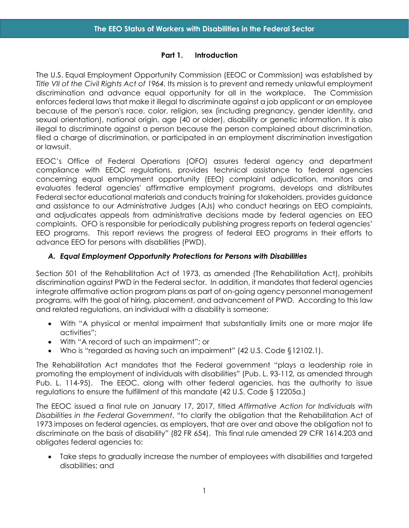#### **Part 1. Introduction**

<span id="page-7-0"></span>The U.S. Equal Employment Opportunity Commission (EEOC or Commission) was established by *Title VII of the Civil Rights Act of 1964.* Its mission is to prevent and remedy unlawful employment discrimination and advance equal opportunity for all in the workplace. The Commission enforces federal laws that make it illegal to discriminate against a job applicant or an employee because of the person's race, color, religion, sex (including pregnancy, gender identity, and sexual orientation), national origin, age (40 or older), disability or genetic information. It is also illegal to discriminate against a person because the person complained about discrimination, filed a charge of discrimination, or participated in an employment discrimination investigation or lawsuit.

EEOC's Office of Federal Operations (OFO) assures federal agency and department compliance with EEOC regulations, provides technical assistance to federal agencies concerning equal employment opportunity (EEO) complaint adjudication, monitors and evaluates federal agencies' affirmative employment programs, develops and distributes Federal sector educational materials and conducts training for stakeholders, provides guidance and assistance to our Administrative Judges (AJs) who conduct hearings on EEO complaints, and adjudicates appeals from administrative decisions made by federal agencies on EEO complaints. OFO is responsible for periodically publishing progress reports on federal agencies' EEO programs. This report reviews the progress of federal EEO programs in their efforts to advance EEO for persons with disabilities (PWD).

#### <span id="page-7-1"></span>*A. Equal Employment Opportunity Protections for Persons with Disabilities*

Section 501 of the Rehabilitation Act of 1973, as amended (The Rehabilitation Act), prohibits discrimination against PWD in the Federal sector. In addition, it mandates that federal agencies integrate affirmative action program plans as part of on-going agency personnel management programs, with the goal of hiring, placement, and advancement of PWD. According to this law and related regulations, an individual with a disability is someone:

- With "A physical or mental impairment that substantially limits one or more major life activities";
- With "A record of such an impairment"; or
- Who is "regarded as having such an impairment" (42 U.S. Code §12102.1).

The Rehabilitation Act mandates that the Federal government "plays a leadership role in promoting the employment of individuals with disabilities" (Pub. L. 93-112, as amended through Pub. L. 114-95). The EEOC, along with other federal agencies, has the authority to issue regulations to ensure the fulfillment of this mandate (42 U.S. Code § 12205a.)

The EEOC issued a final rule on January 17, 2017, titled *Affirmative Action for Individuals with Disabilities in the Federal Government*, "to clarify the obligation that the Rehabilitation Act of 1973 imposes on federal agencies, as employers, that are over and above the obligation not to discriminate on the basis of disability" (82 FR 654). This final rule amended 29 CFR 1614.203 and obligates federal agencies to:

• Take steps to gradually increase the number of employees with disabilities and targeted disabilities; and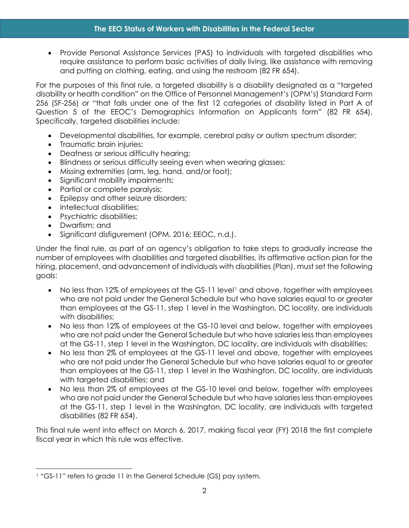• Provide Personal Assistance Services (PAS) to individuals with targeted disabilities who require assistance to perform basic activities of daily living, like assistance with removing and putting on clothing, eating, and using the restroom (82 FR 654).

For the purposes of this final rule, a targeted disability is a disability designated as a "targeted disability or health condition" on the Office of Personnel Management's (OPM's) Standard Form 256 (SF-256) or "that falls under one of the first 12 categories of disability listed in Part A of Question 5 of the EEOC's Demographics Information on Applicants form" (82 FR 654). Specifically, targeted disabilities include:

- Developmental disabilities, for example, cerebral palsy or autism spectrum disorder;
- Traumatic brain injuries:
- Deafness or serious difficulty hearing;
- Blindness or serious difficulty seeing even when wearing glasses;
- Missing extremities (arm, leg, hand, and/or foot);
- Significant mobility impairments;
- Partial or complete paralysis;
- Epilepsy and other seizure disorders;
- Intellectual disabilities:
- Psychiatric disabilities;
- Dwarfism; and
- Significant disfigurement (OPM, 2016; EEOC, n.d.).

Under the final rule, as part of an agency's obligation to take steps to gradually increase the number of employees with disabilities and targeted disabilities, its affirmative action plan for the hiring, placement, and advancement of individuals with disabilities (Plan), must set the following goals:

- No less than [1](#page-8-0)2% of employees at the GS-11 level<sup>1</sup> and above, together with employees who are not paid under the General Schedule but who have salaries equal to or greater than employees at the GS-11, step 1 level in the Washington, DC locality, are individuals with disabilities;
- No less than 12% of employees at the GS-10 level and below, together with employees who are not paid under the General Schedule but who have salaries less than employees at the GS-11, step 1 level in the Washington, DC locality, are individuals with disabilities;
- No less than 2% of employees at the GS-11 level and above, together with employees who are not paid under the General Schedule but who have salaries equal to or greater than employees at the GS-11, step 1 level in the Washington, DC locality, are individuals with targeted disabilities; and
- No less than 2% of employees at the GS-10 level and below, together with employees who are not paid under the General Schedule but who have salaries less than employees at the GS-11, step 1 level in the Washington, DC locality, are individuals with targeted disabilities (82 FR 654).

This final rule went into effect on March 6, 2017, making fiscal year (FY) 2018 the first complete fiscal year in which this rule was effective.

<span id="page-8-0"></span><sup>&</sup>lt;sup>1</sup> "GS-11" refers to grade 11 in the General Schedule (GS) pay system.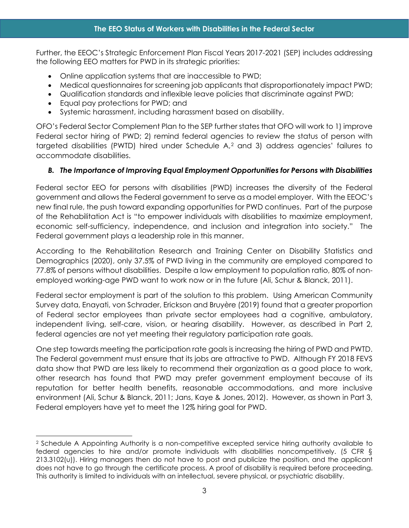Further, the EEOC's Strategic Enforcement Plan Fiscal Years 2017-2021 (SEP) includes addressing the following EEO matters for PWD in its strategic priorities:

- Online application systems that are inaccessible to PWD;
- Medical questionnaires for screening job applicants that disproportionately impact PWD;
- Qualification standards and inflexible leave policies that discriminate against PWD;
- Equal pay protections for PWD; and
- Systemic harassment, including harassment based on disability.

OFO's Federal Sector Complement Plan to the SEP further states that OFO will work to 1) improve Federal sector hiring of PWD; 2) remind federal agencies to review the status of person with targeted disabilities (PWTD) hired under Schedule A,[2](#page-9-1) and 3) address agencies' failures to accommodate disabilities.

# <span id="page-9-0"></span>*B. The Importance of Improving Equal Employment Opportunities for Persons with Disabilities*

Federal sector EEO for persons with disabilities (PWD) increases the diversity of the Federal government and allows the Federal government to serve as a model employer. With the EEOC's new final rule, the push toward expanding opportunities for PWD continues. Part of the purpose of the Rehabilitation Act is "to empower individuals with disabilities to maximize employment, economic self-sufficiency, independence, and inclusion and integration into society." The Federal government plays a leadership role in this manner.

According to the Rehabilitation Research and Training Center on Disability Statistics and Demographics (2020), only 37.5% of PWD living in the community are employed compared to 77.8% of persons without disabilities. Despite a low employment to population ratio, 80% of nonemployed working-age PWD want to work now or in the future (Ali, Schur & Blanck, 2011).

Federal sector employment is part of the solution to this problem. Using American Community Survey data, Enayati, von Schrader, Erickson and Bruyère (2019) found that a greater proportion of Federal sector employees than private sector employees had a cognitive, ambulatory, independent living, self-care, vision, or hearing disability. However, as described in Part 2, federal agencies are not yet meeting their regulatory participation rate goals.

One step towards meeting the participation rate goals is increasing the hiring of PWD and PWTD. The Federal government must ensure that its jobs are attractive to PWD. Although FY 2018 FEVS data show that PWD are less likely to recommend their organization as a good place to work, other research has found that PWD may prefer government employment because of its reputation for better health benefits, reasonable accommodations, and more inclusive environment (Ali, Schur & Blanck, 2011; Jans, Kaye & Jones, 2012). However, as shown in Part 3, Federal employers have yet to meet the 12% hiring goal for PWD.

<span id="page-9-1"></span><sup>2</sup> Schedule A Appointing Authority is a non-competitive excepted service hiring authority available to federal agencies to hire and/or promote individuals with disabilities noncompetitively. (5 CFR § 213.3102(u)). Hiring managers then do not have to post and publicize the position, and the applicant does not have to go through the certificate process. A proof of disability is required before proceeding. This authority is limited to individuals with an intellectual, severe physical, or psychiatric disability.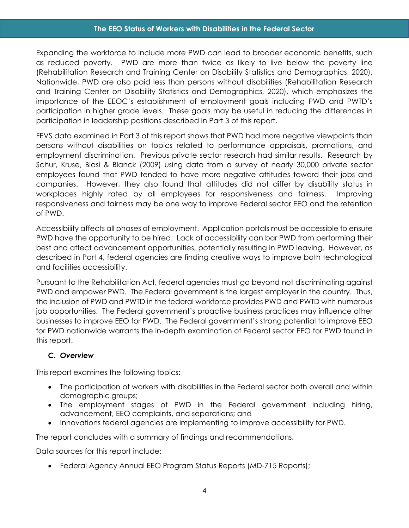#### **The EEO Status of Workers with Disabilities in the Federal Sector**

Expanding the workforce to include more PWD can lead to broader economic benefits, such as reduced poverty. PWD are more than twice as likely to live below the poverty line (Rehabilitation Research and Training Center on Disability Statistics and Demographics, 2020). Nationwide, PWD are also paid less than persons without disabilities (Rehabilitation Research and Training Center on Disability Statistics and Demographics, 2020), which emphasizes the importance of the EEOC's establishment of employment goals including PWD and PWTD's participation in higher grade levels. These goals may be useful in reducing the differences in participation in leadership positions described in Part 3 of this report.

FEVS data examined in Part 3 of this report shows that PWD had more negative viewpoints than persons without disabilities on topics related to performance appraisals, promotions, and employment discrimination. Previous private sector research had similar results. Research by Schur, Kruse, Blasi & Blanck (2009) using data from a survey of nearly 30,000 private sector employees found that PWD tended to have more negative attitudes toward their jobs and companies. However, they also found that attitudes did not differ by disability status in workplaces highly rated by all employees for responsiveness and fairness. Improving responsiveness and fairness may be one way to improve Federal sector EEO and the retention of PWD.

Accessibility affects all phases of employment. Application portals must be accessible to ensure PWD have the opportunity to be hired. Lack of accessibility can bar PWD from performing their best and affect advancement opportunities, potentially resulting in PWD leaving. However, as described in Part 4, federal agencies are finding creative ways to improve both technological and facilities accessibility.

Pursuant to the Rehabilitation Act, federal agencies must go beyond not discriminating against PWD and empower PWD. The Federal government is the largest employer in the country. Thus, the inclusion of PWD and PWTD in the federal workforce provides PWD and PWTD with numerous job opportunities. The Federal government's proactive business practices may influence other businesses to improve EEO for PWD. The Federal government's strong potential to improve EEO for PWD nationwide warrants the in-depth examination of Federal sector EEO for PWD found in this report.

#### <span id="page-10-0"></span>*C. Overview*

This report examines the following topics:

- The participation of workers with disabilities in the Federal sector both overall and within demographic groups;
- The employment stages of PWD in the Federal government including hiring, advancement, EEO complaints, and separations; and
- Innovations federal agencies are implementing to improve accessibility for PWD.

The report concludes with a summary of findings and recommendations.

Data sources for this report include:

• Federal Agency Annual EEO Program Status Reports (MD-715 Reports);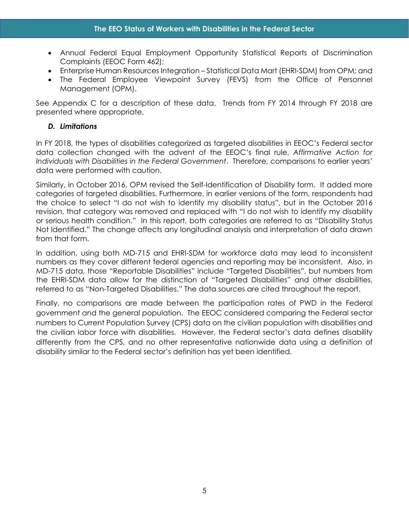- Annual Federal Equal Employment Opportunity Statistical Reports of Discrimination Complaints (EEOC Form 462);
- Enterprise Human Resources Integration Statistical Data Mart (EHRI-SDM) from OPM; and
- The Federal Employee Viewpoint Survey (FEVS) from the Office of Personnel Management (OPM).

See Appendix C for a description of these data. Trends from FY 2014 through FY 2018 are presented where appropriate.

## <span id="page-11-0"></span>*D. Limitations*

In FY 2018, the types of disabilities categorized as targeted disabilities in EEOC's Federal sector data collection changed with the advent of the EEOC's final rule, *Affirmative Action for Individuals with Disabilities in the Federal Government*. Therefore, comparisons to earlier years' data were performed with caution.

Similarly, in October 2016, OPM revised the Self-Identification of Disability form. It added more categories of targeted disabilities. Furthermore, in earlier versions of the form, respondents had the choice to select "I do not wish to identify my disability status", but in the October 2016 revision, that category was removed and replaced with "I do not wish to identify my disability or serious health condition." In this report, both categories are referred to as "Disability Status Not Identified." The change affects any longitudinal analysis and interpretation of data drawn from that form.

In addition, using both MD-715 and EHRI-SDM for workforce data may lead to inconsistent numbers as they cover different federal agencies and reporting may be inconsistent. Also, in MD-715 data, those "Reportable Disabilities" include "Targeted Disabilities", but numbers from the EHRI-SDM data allow for the distinction of "Targeted Disabilities" and other disabilities, referred to as "Non-Targeted Disabilities." The data sources are cited throughout the report.

Finally, no comparisons are made between the participation rates of PWD in the Federal government and the general population. The EEOC considered comparing the Federal sector numbers to Current Population Survey (CPS) data on the civilian population with disabilities and the civilian labor force with disabilities. However, the Federal sector's data defines disability differently from the CPS, and no other representative nationwide data using a definition of disability similar to the Federal sector's definition has yet been identified.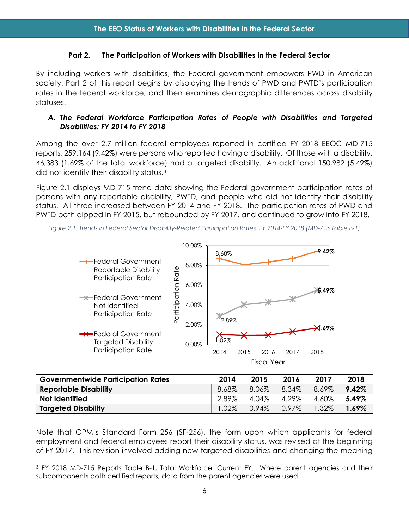#### **Part 2. The Participation of Workers with Disabilities in the Federal Sector**

<span id="page-12-0"></span>By including workers with disabilities, the Federal government empowers PWD in American society. Part 2 of this report begins by displaying the trends of PWD and PWTD's participation rates in the federal workforce, and then examines demographic differences across disability statuses.

#### <span id="page-12-1"></span>*A. The Federal Workforce Participation Rates of People with Disabilities and Targeted Disabilities: FY 2014 to FY 2018*

Among the over 2.7 million federal employees reported in certified FY 2018 EEOC MD-715 reports, 259,164 (9.42%) were persons who reported having a disability. Of those with a disability, 46,383 (1.69% of the total workforce) had a targeted disability. An additional 150,982 (5.49%) did not identify their disability status.[3](#page-12-3)

Figure 2.1 displays MD-715 trend data showing the Federal government participation rates of persons with any reportable disability, PWTD, and people who did not identify their disability status. All three increased between FY 2014 and FY 2018. The participation rates of PWD and PWTD both dipped in FY 2015, but rebounded by FY 2017, and continued to grow into FY 2018.



<span id="page-12-2"></span>*Figure 2.1. Trends in Federal Sector Disability-Related Participation Rates, FY 2014-FY 2018 (MD-715 Table B-1)*

| <b>Governmentwide Participation Rates</b> | 2014     | 2015     | 2016     | 2017  | 2018     |
|-------------------------------------------|----------|----------|----------|-------|----------|
| <b>Reportable Disability</b>              | $8.68\%$ | 8.06%    | 8.34%    | 8.69% | $9.42\%$ |
| Not Identified                            | 2.89%    | 4.04%    | 4.29%    | 4.60% | $5.49\%$ |
| <b>Targeted Disability</b>                | $1.02\%$ | $0.94\%$ | $0.97\%$ | 1.32% | 1.69%    |

Note that OPM's Standard Form 256 (SF-256), the form upon which applicants for federal employment and federal employees report their disability status, was revised at the beginning of FY 2017. This revision involved adding new targeted disabilities and changing the meaning

<span id="page-12-3"></span><sup>3</sup> FY 2018 MD-715 Reports Table B-1, Total Workforce: Current FY. Where parent agencies and their subcomponents both certified reports, data from the parent agencies were used.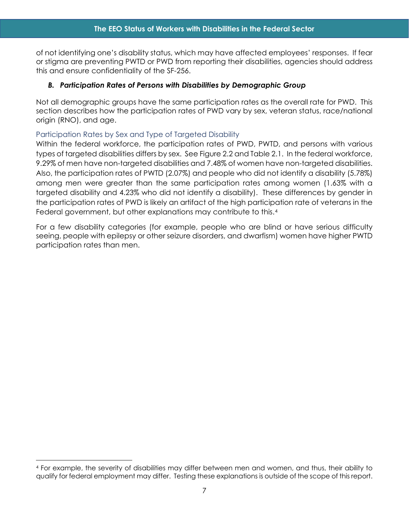of not identifying one's disability status, which may have affected employees' responses. If fear or stigma are preventing PWTD or PWD from reporting their disabilities, agencies should address this and ensure confidentiality of the SF-256.

## <span id="page-13-0"></span>*B. Participation Rates of Persons with Disabilities by Demographic Group*

Not all demographic groups have the same participation rates as the overall rate for PWD. This section describes how the participation rates of PWD vary by sex, veteran status, race/national origin (RNO), and age.

# <span id="page-13-1"></span>Participation Rates by Sex and Type of Targeted Disability

Within the federal workforce, the participation rates of PWD, PWTD, and persons with various types of targeted disabilities differs by sex. See Figure 2.2 and Table 2.1. In the federal workforce, 9.29% of men have non-targeted disabilities and 7.48% of women have non-targeted disabilities. Also, the participation rates of PWTD (2.07%) and people who did not identify a disability (5.78%) among men were greater than the same participation rates among women (1.63% with a targeted disability and 4.23% who did not identify a disability). These differences by gender in the participation rates of PWD is likely an artifact of the high participation rate of veterans in the Federal government, but other explanations may contribute to this.[4](#page-13-2)

For a few disability categories (for example, people who are blind or have serious difficulty seeing, people with epilepsy or other seizure disorders, and dwarfism) women have higher PWTD participation rates than men.

<span id="page-13-2"></span><sup>4</sup> For example, the severity of disabilities may differ between men and women, and thus, their ability to qualify for federal employment may differ. Testing these explanations is outside of the scope of this report.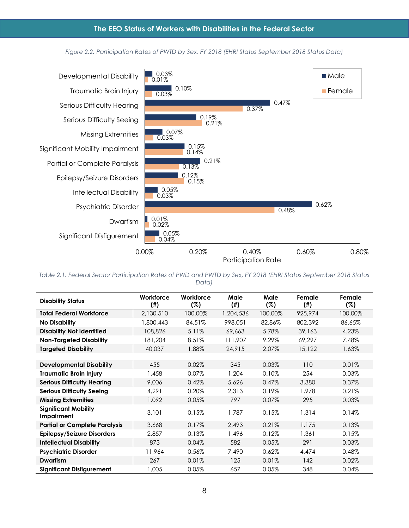#### *Figure 2.2. Participation Rates of PWTD by Sex, FY 2018 (EHRI Status September 2018 Status Data)*

<span id="page-14-1"></span>

<span id="page-14-0"></span>*Table 2.1. Federal Sector Participation Rates of PWD and PWTD by Sex, FY 2018 (EHRI Status September 2018 Status Data)*

| <b>Disability Status</b>                  | Workforce<br>$($ # $)$ | Workforce<br>(%) | Male<br>$($ # $)$ | Male<br>(%) | Female<br>$($ # $)$ | Female<br>(%) |
|-------------------------------------------|------------------------|------------------|-------------------|-------------|---------------------|---------------|
| <b>Total Federal Workforce</b>            | 2,130,510              | 100.00%          | 1,204,536         | 100.00%     | 925,974             | 100.00%       |
| <b>No Disability</b>                      | 1,800,443              | 84.51%           | 998,051           | 82.86%      | 802,392             | 86.65%        |
| <b>Disability Not Identified</b>          | 108,826                | 5.11%            | 69,663            | 5.78%       | 39,163              | 4.23%         |
| <b>Non-Targeted Disability</b>            | 181,204                | 8.51%            | 111,907           | 9.29%       | 69.297              | 7.48%         |
| <b>Targeted Disability</b>                | 40,037                 | 1.88%            | 24,915            | 2.07%       | 15,122              | 1.63%         |
|                                           |                        |                  |                   |             |                     |               |
| <b>Developmental Disability</b>           | 455                    | 0.02%            | 345               | 0.03%       | 110                 | 0.01%         |
| <b>Traumatic Brain Injury</b>             | 1,458                  | $0.07\%$         | 1,204             | 0.10%       | 254                 | 0.03%         |
| <b>Serious Difficulty Hearing</b>         | 9,006                  | 0.42%            | 5,626             | 0.47%       | 3,380               | 0.37%         |
| <b>Serious Difficulty Seeing</b>          | 4,291                  | $0.20\%$         | 2,313             | 0.19%       | 1,978               | 0.21%         |
| <b>Missing Extremities</b>                | 1.092                  | 0.05%            | 797               | 0.07%       | 295                 | 0.03%         |
| <b>Significant Mobility</b><br>Impairment | 3,101                  | 0.15%            | 1,787             | 0.15%       | 1,314               | 0.14%         |
| <b>Partial or Complete Paralysis</b>      | 3,668                  | 0.17%            | 2,493             | 0.21%       | 1,175               | 0.13%         |
| <b>Epilepsy/Seizure Disorders</b>         | 2,857                  | 0.13%            | 1,496             | 0.12%       | 1,361               | 0.15%         |
| <b>Intellectual Disability</b>            | 873                    | 0.04%            | 582               | 0.05%       | 291                 | 0.03%         |
| <b>Psychiatric Disorder</b>               | 11,964                 | 0.56%            | 7,490             | 0.62%       | 4,474               | 0.48%         |
| <b>Dwarfism</b>                           | 267                    | 0.01%            | 125               | 0.01%       | 142                 | 0.02%         |
| <b>Significant Disfigurement</b>          | 1,005                  | 0.05%            | 657               | 0.05%       | 348                 | 0.04%         |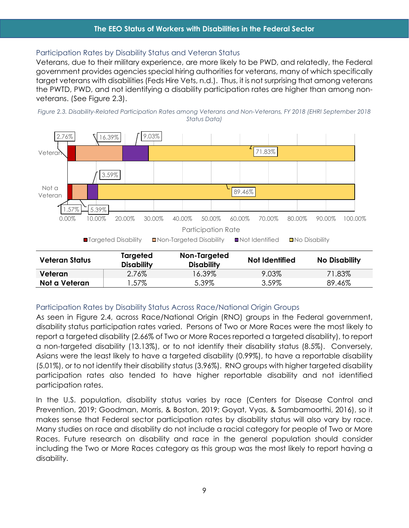#### **The EEO Status of Workers with Disabilities in the Federal Sector**

#### <span id="page-15-0"></span>Participation Rates by Disability Status and Veteran Status

Veterans, due to their military experience, are more likely to be PWD, and relatedly, the Federal government provides agencies special hiring authorities for veterans, many of which specifically target veterans with disabilities (Feds Hire Vets, n.d.). Thus, it is not surprising that among veterans the PWTD, PWD, and not identifying a disability participation rates are higher than among nonveterans. (See Figure 2.3).

<span id="page-15-2"></span>



| Veteran Status | Targeted<br><b>Disability</b> | Non-Targeted<br><b>Disability</b> | Not Identified | <b>No Disability</b> |
|----------------|-------------------------------|-----------------------------------|----------------|----------------------|
| Veteran        | 2.76%                         | 16.39%                            | 9.03%          | 71.83%               |
| Not a Veteran  | .57%                          | 5.39%                             | 3.59%          | 89.46%               |

#### <span id="page-15-1"></span>Participation Rates by Disability Status Across Race/National Origin Groups

As seen in Figure 2.4, across Race/National Origin (RNO) groups in the Federal government, disability status participation rates varied. Persons of Two or More Races were the most likely to report a targeted disability (2.66% of Two or More Races reported a targeted disability), to report a non-targeted disability (13.13%), or to not identify their disability status (8.5%). Conversely, Asians were the least likely to have a targeted disability (0.99%), to have a reportable disability (5.01%), or to not identify their disability status (3.96%). RNO groups with higher targeted disability participation rates also tended to have higher reportable disability and not identified participation rates.

In the U.S. population, disability status varies by race (Centers for Disease Control and Prevention, 2019; Goodman, Morris, & Boston, 2019; Goyat, Vyas, & Sambamoorthi, 2016), so it makes sense that Federal sector participation rates by disability status will also vary by race. Many studies on race and disability do not include a racial category for people of Two or More Races. Future research on disability and race in the general population should consider including the Two or More Races category as this group was the most likely to report having a disability.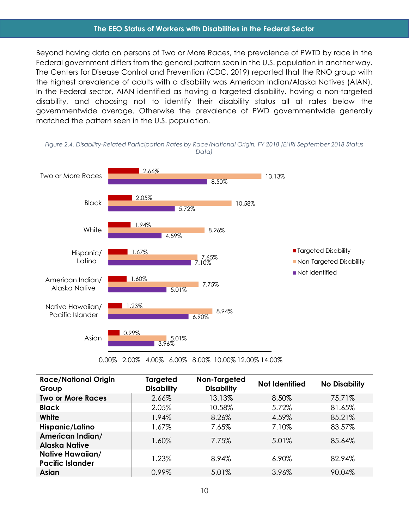#### **The EEO Status of Workers with Disabilities in the Federal Sector**

Beyond having data on persons of Two or More Races, the prevalence of PWTD by race in the Federal government differs from the general pattern seen in the U.S. population in another way. The Centers for Disease Control and Prevention (CDC, 2019) reported that the RNO group with the highest prevalence of adults with a disability was American Indian/Alaska Natives (AIAN). In the Federal sector, AIAN identified as having a targeted disability, having a non-targeted disability, and choosing not to identify their disability status all at rates below the governmentwide average. Otherwise the prevalence of PWD governmentwide generally matched the pattern seen in the U.S. population.



<span id="page-16-0"></span>*Figure 2.4. Disability-Related Participation Rates by Race/National Origin, FY 2018 (EHRI September 2018 Status Data)*

0.00% 2.00% 4.00% 6.00% 8.00% 10.00% 12.00% 14.00%

| <b>Race/National Origin</b><br>Group               | <b>Targeted</b><br><b>Disability</b> | Non-Targeted<br><b>Disability</b> | <b>Not Identified</b> | <b>No Disability</b> |
|----------------------------------------------------|--------------------------------------|-----------------------------------|-----------------------|----------------------|
| <b>Two or More Races</b>                           | 2.66%                                | 13.13%                            | 8.50%                 | 75.71%               |
| <b>Black</b>                                       | 2.05%                                | 10.58%                            | 5.72%                 | 81.65%               |
| White                                              | 1.94%                                | 8.26%                             | 4.59%                 | 85.21%               |
| Hispanic/Latino                                    | 1.67%                                | 7.65%                             | 7.10%                 | 83.57%               |
| American Indian/<br><b>Alaska Native</b>           | 1.60%                                | 7.75%                             | 5.01%                 | 85.64%               |
| <b>Native Hawaiian/</b><br><b>Pacific Islander</b> | 1.23%                                | 8.94%                             | 6.90%                 | 82.94%               |
| <b>Asian</b>                                       | 0.99%                                | 5.01%                             | 3.96%                 | 90.04%               |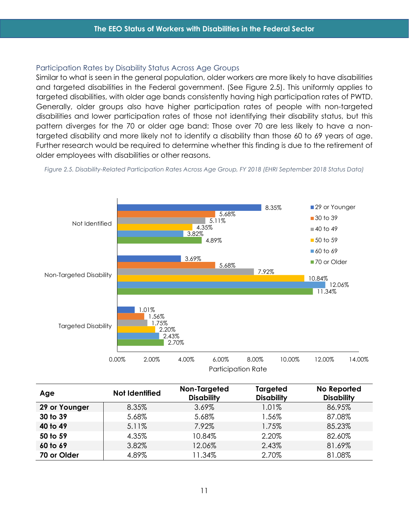#### <span id="page-17-0"></span>Participation Rates by Disability Status Across Age Groups

Similar to what is seen in the general population, older workers are more likely to have disabilities and targeted disabilities in the Federal government. (See Figure 2.5). This uniformly applies to targeted disabilities, with older age bands consistently having high participation rates of PWTD. Generally, older groups also have higher participation rates of people with non-targeted disabilities and lower participation rates of those not identifying their disability status, but this pattern diverges for the 70 or older age band: Those over 70 are less likely to have a nontargeted disability and more likely not to identify a disability than those 60 to 69 years of age. Further research would be required to determine whether this finding is due to the retirement of older employees with disabilities or other reasons.

<span id="page-17-1"></span>



| Age           | <b>Not Identified</b> | Non-Targeted<br><b>Disability</b> | Targeted<br><b>Disability</b> | No Reported<br><b>Disability</b> |
|---------------|-----------------------|-----------------------------------|-------------------------------|----------------------------------|
| 29 or Younger | 8.35%                 | 3.69%                             | 1.01%                         | 86.95%                           |
| 30 to 39      | 5.68%                 | 5.68%                             | 1.56%                         | 87.08%                           |
| 40 to 49      | 5.11%                 | 7.92%                             | 1.75%                         | 85.23%                           |
| 50 to 59      | 4.35%                 | 10.84%                            | 2.20%                         | 82.60%                           |
| 60 to 69      | 3.82%                 | 12.06%                            | 2.43%                         | 81.69%                           |
| 70 or Older   | 4.89%                 | 11.34%                            | 2.70%                         | 81.08%                           |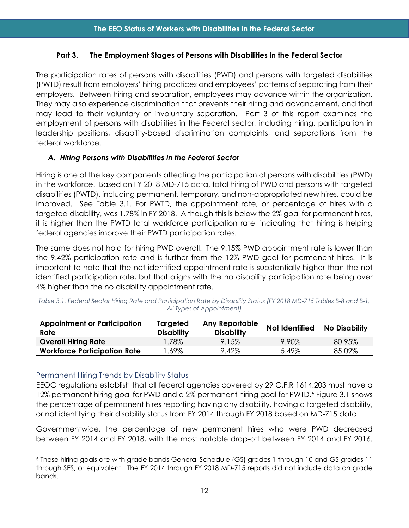#### <span id="page-18-0"></span>**Part 3. The Employment Stages of Persons with Disabilities in the Federal Sector**

The participation rates of persons with disabilities (PWD) and persons with targeted disabilities (PWTD) result from employers' hiring practices and employees' patterns of separating from their employers. Between hiring and separation, employees may advance within the organization. They may also experience discrimination that prevents their hiring and advancement, and that may lead to their voluntary or involuntary separation. Part 3 of this report examines the employment of persons with disabilities in the Federal sector, including hiring, participation in leadership positions, disability-based discrimination complaints, and separations from the federal workforce.

## <span id="page-18-1"></span>*A. Hiring Persons with Disabilities in the Federal Sector*

Hiring is one of the key components affecting the participation of persons with disabilities (PWD) in the workforce. Based on FY 2018 MD-715 data, total hiring of PWD and persons with targeted disabilities (PWTD), including permanent, temporary, and non-appropriated new hires, could be improved. See Table 3.1. For PWTD, the appointment rate, or percentage of hires with a targeted disability, was 1.78% in FY 2018. Although this is below the 2% goal for permanent hires, it is higher than the PWTD total workforce participation rate, indicating that hiring is helping federal agencies improve their PWTD participation rates.

The same does not hold for hiring PWD overall. The 9.15% PWD appointment rate is lower than the 9.42% participation rate and is further from the 12% PWD goal for permanent hires. It is important to note that the not identified appointment rate is substantially higher than the not identified participation rate, but that aligns with the no disability participation rate being over 4% higher than the no disability appointment rate.

| <b>Appointment or Participation</b><br>Rate | Targeted<br><b>Disability</b> | <b>Any Reportable</b><br><b>Disability</b> | Not Identified | <b>No Disability</b> |
|---------------------------------------------|-------------------------------|--------------------------------------------|----------------|----------------------|
| <b>Overall Hiring Rate</b>                  | .78%                          | 9.15%                                      | 9.90%          | 80.95%               |
| <b>Workforce Participation Rate</b>         | .69%                          | 9.42%                                      | 5.49%          | 85.09%               |

<span id="page-18-3"></span>*Table 3.1. Federal Sector Hiring Rate and Participation Rate by Disability Status (FY 2018 MD-715 Tables B-8 and B-1, All Types of Appointment)*

## <span id="page-18-2"></span>Permanent Hiring Trends by Disability Status

EEOC regulations establish that all federal agencies covered by 29 C.F.R 1614.203 must have a 12% permanent hiring goal for PWD and a 2% permanent hiring goal for PWTD.<sup>[5](#page-18-4)</sup> Figure 3.1 shows the percentage of permanent hires reporting having any disability, having a targeted disability, or not identifying their disability status from FY 2014 through FY 2018 based on MD-715 data.

Governmentwide, the percentage of new permanent hires who were PWD decreased between FY 2014 and FY 2018, with the most notable drop-off between FY 2014 and FY 2016.

<span id="page-18-4"></span><sup>5</sup> These hiring goals are with grade bands General Schedule (GS) grades 1 through 10 and GS grades 11 through SES, or equivalent. The FY 2014 through FY 2018 MD-715 reports did not include data on grade bands.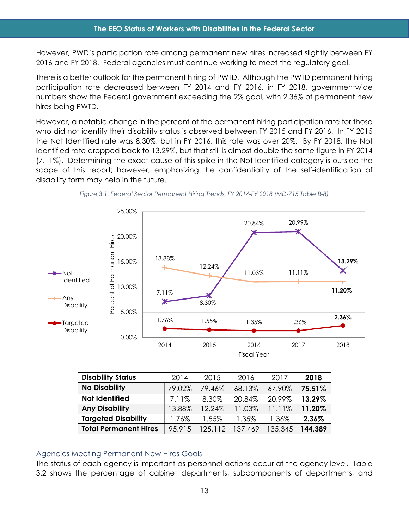However, PWD's participation rate among permanent new hires increased slightly between FY 2016 and FY 2018. Federal agencies must continue working to meet the regulatory goal.

There is a better outlook for the permanent hiring of PWTD. Although the PWTD permanent hiring participation rate decreased between FY 2014 and FY 2016, in FY 2018, governmentwide numbers show the Federal government exceeding the 2% goal, with 2.36% of permanent new hires being PWTD.

However, a notable change in the percent of the permanent hiring participation rate for those who did not identify their disability status is observed between FY 2015 and FY 2016. In FY 2015 the Not Identified rate was 8.30%, but in FY 2016, this rate was over 20%. By FY 2018, the Not Identified rate dropped back to 13.29%, but that still is almost double the same figure in FY 2014 (7.11%). Determining the exact cause of this spike in the Not Identified category is outside the scope of this report; however, emphasizing the confidentiality of the self-identification of disability form may help in the future.

<span id="page-19-1"></span>



| <b>Disability Status</b>     | 2014   | 2015    | 2016    | 2017    | 2018    |
|------------------------------|--------|---------|---------|---------|---------|
| <b>No Disability</b>         | 79.02% | 79.46%  | 68.13%  | 67.90%  | 75.51%  |
| <b>Not Identified</b>        | 7.11%  | 8.30%   | 20.84%  | 20.99%  | 13.29%  |
| <b>Any Disability</b>        | 13.88% | 12.24%  | 11.03%  | 11.11%  | 11.20%  |
| <b>Targeted Disability</b>   | 1.76%  | 1.55%   | 1.35%   | 1.36%   | 2.36%   |
| <b>Total Permanent Hires</b> | 95,915 | 125.112 | 137,469 | 135,345 | 144.389 |

#### <span id="page-19-0"></span>Agencies Meeting Permanent New Hires Goals

The status of each agency is important as personnel actions occur at the agency level. Table 3.2 shows the percentage of cabinet departments, subcomponents of departments, and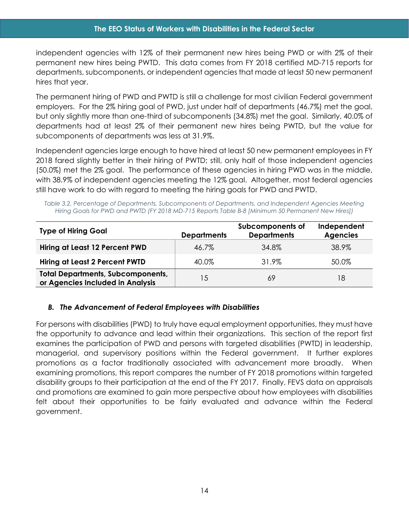independent agencies with 12% of their permanent new hires being PWD or with 2% of their permanent new hires being PWTD. This data comes from FY 2018 certified MD-715 reports for departments, subcomponents, or independent agencies that made at least 50 new permanent hires that year.

The permanent hiring of PWD and PWTD is still a challenge for most civilian Federal government employers. For the 2% hiring goal of PWD, just under half of departments (46.7%) met the goal, but only slightly more than one-third of subcomponents (34.8%) met the goal. Similarly, 40.0% of departments had at least 2% of their permanent new hires being PWTD, but the value for subcomponents of departments was less at 31.9%.

Independent agencies large enough to have hired at least 50 new permanent employees in FY 2018 fared slightly better in their hiring of PWTD; still, only half of those independent agencies (50.0%) met the 2% goal. The performance of these agencies in hiring PWD was in the middle, with 38.9% of independent agencies meeting the 12% goal. Altogether, most federal agencies still have work to do with regard to meeting the hiring goals for PWD and PWTD.

<span id="page-20-1"></span>*Table 3.2. Percentage of Departments, Subcomponents of Departments, and Independent Agencies Meeting Hiring Goals for PWD and PWTD (FY 2018 MD-715 Reports Table B-8 [Minimum 50 Permanent New Hires])*

| <b>Type of Hiring Goal</b>                                                   | <b>Departments</b> | Subcomponents of<br><b>Departments</b> | Independent<br><b>Agencies</b> |
|------------------------------------------------------------------------------|--------------------|----------------------------------------|--------------------------------|
| Hiring at Least 12 Percent PWD                                               | 46.7%              | 34.8%                                  | 38.9%                          |
| <b>Hiring at Least 2 Percent PWTD</b>                                        | 40.0%              | 31.9%                                  | 50.0%                          |
| <b>Total Departments, Subcomponents,</b><br>or Agencies Included in Analysis | 15                 | 69                                     | 18                             |

## <span id="page-20-0"></span>*B. The Advancement of Federal Employees with Disabilities*

For persons with disabilities (PWD) to truly have equal employment opportunities, they must have the opportunity to advance and lead within their organizations. This section of the report first examines the participation of PWD and persons with targeted disabilities (PWTD) in leadership, managerial, and supervisory positions within the Federal government. It further explores promotions as a factor traditionally associated with advancement more broadly. When examining promotions, this report compares the number of FY 2018 promotions within targeted disability groups to their participation at the end of the FY 2017. Finally, FEVS data on appraisals and promotions are examined to gain more perspective about how employees with disabilities felt about their opportunities to be fairly evaluated and advance within the Federal government.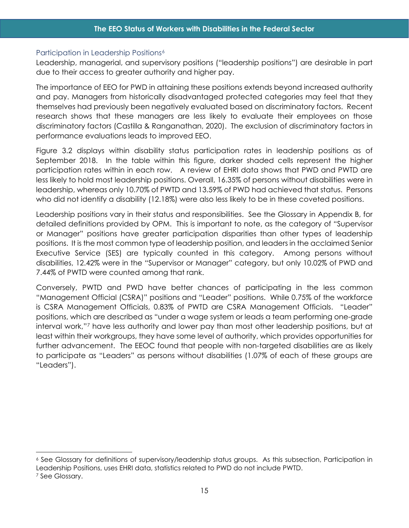#### <span id="page-21-0"></span>Participation in Leadership Positions<sup>[6](#page-21-1)</sup>

Leadership, managerial, and supervisory positions ("leadership positions") are desirable in part due to their access to greater authority and higher pay.

The importance of EEO for PWD in attaining these positions extends beyond increased authority and pay. Managers from historically disadvantaged protected categories may feel that they themselves had previously been negatively evaluated based on discriminatory factors. Recent research shows that these managers are less likely to evaluate their employees on those discriminatory factors (Castilla & Ranganathan, 2020). The exclusion of discriminatory factors in performance evaluations leads to improved EEO.

Figure 3.2 displays within disability status participation rates in leadership positions as of September 2018. In the table within this figure, darker shaded cells represent the higher participation rates within in each row. A review of EHRI data shows that PWD and PWTD are less likely to hold most leadership positions. Overall, 16.35% of persons without disabilities were in leadership, whereas only 10.70% of PWTD and 13.59% of PWD had achieved that status. Persons who did not identify a disability (12.18%) were also less likely to be in these coveted positions.

Leadership positions vary in their status and responsibilities. See the Glossary in Appendix B, for detailed definitions provided by OPM. This is important to note, as the category of "Supervisor or Manager" positions have greater participation disparities than other types of leadership positions. It is the most common type of leadership position, and leaders in the acclaimed Senior Executive Service (SES) are typically counted in this category. Among persons without disabilities, 12.42% were in the "Supervisor or Manager" category, but only 10.02% of PWD and 7.44% of PWTD were counted among that rank.

Conversely, PWTD and PWD have better chances of participating in the less common "Management Official (CSRA)" positions and "Leader" positions. While 0.75% of the workforce is CSRA Management Officials, 0.83% of PWTD are CSRA Management Officials. "Leader" positions, which are described as "under a wage system or leads a team performing one-grade interval work,"[7](#page-21-2) have less authority and lower pay than most other leadership positions, but at least within their workgroups, they have some level of authority, which provides opportunities for further advancement. The EEOC found that people with non-targeted disabilities are as likely to participate as "Leaders" as persons without disabilities (1.07% of each of these groups are "Leaders").

<span id="page-21-1"></span><sup>6</sup> See Glossary for definitions of supervisory/leadership status groups. As this subsection, Participation in Leadership Positions, uses EHRI data, statistics related to PWD do not include PWTD.

<span id="page-21-2"></span><sup>7</sup> See Glossary.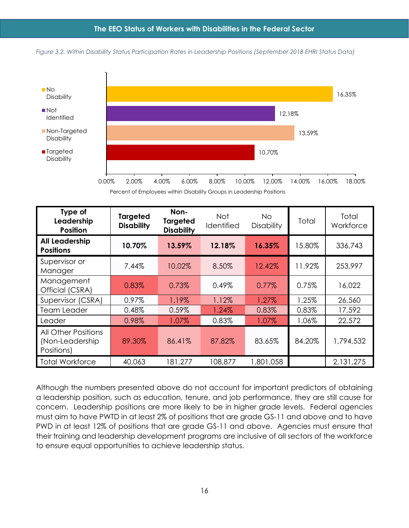<span id="page-22-0"></span>*Figure 3.2. Within Disability Status Participation Rates in Leadership Positions (September 2018 EHRI Status Data)*



Percent of Employees within Disability Groups in Leadership Positions

| Type of<br>Leadership<br><b>Position</b>                    | <b>Targeted</b><br><b>Disability</b> | Non-<br><b>Targeted</b><br><b>Disability</b> | <b>Not</b><br>Identified | No.<br><b>Disability</b> | Total  | Total<br>Workforce |
|-------------------------------------------------------------|--------------------------------------|----------------------------------------------|--------------------------|--------------------------|--------|--------------------|
| <b>All Leadership</b><br><b>Positions</b>                   | 10.70%                               | 13.59%                                       | 12.18%                   | 16.35%                   | 15.80% | 336,743            |
| Supervisor or<br>Manager                                    | 7.44%                                | 10.02%                                       | 8.50%                    | 12.42%                   | 11.92% | 253,997            |
| Management<br>Official (CSRA)                               | 0.83%                                | 0.73%                                        | 0.49%                    | 0.77%                    | 0.75%  | 16,022             |
| Supervisor (CSRA)                                           | 0.97%                                | 1.19%                                        | 1.12%                    | 1.27%                    | 1.25%  | 26,560             |
| <b>Team Leader</b>                                          | 0.48%                                | 0.59%                                        | 1.24%                    | 0.83%                    | 0.83%  | 17,592             |
| Leader                                                      | 0.98%                                | 1.07%                                        | 0.83%                    | 1.07%                    | 1.06%  | 22,572             |
| <b>All Other Positions</b><br>(Non-Leadership<br>Positions) | 89.30%                               | 86.41%                                       | 87.82%                   | 83.65%                   | 84.20% | 1,794,532          |
| <b>Total Workforce</b>                                      | 40,063                               | 181,277                                      | 108,877                  | 1,801,058                |        | 2,131,275          |

Although the numbers presented above do not account for important predictors of obtaining a leadership position, such as education, tenure, and job performance, they are still cause for concern. Leadership positions are more likely to be in higher grade levels. Federal agencies must aim to have PWTD in at least 2% of positions that are grade GS-11 and above and to have PWD in at least 12% of positions that are grade GS-11 and above. Agencies must ensure that their training and leadership development programs are inclusive of all sectors of the workforce to ensure equal opportunities to achieve leadership status.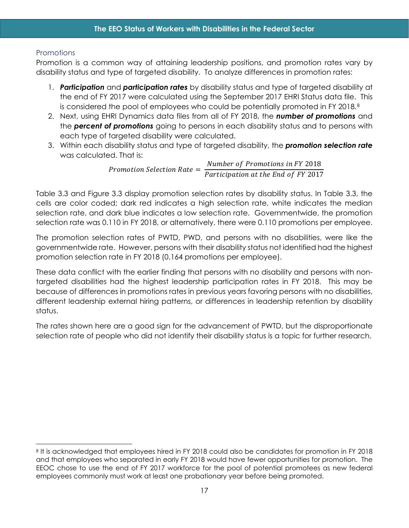# <span id="page-23-0"></span>**Promotions**

Promotion is a common way of attaining leadership positions, and promotion rates vary by disability status and type of targeted disability. To analyze differences in promotion rates:

- 1. *Participation* and *participation rates* by disability status and type of targeted disability at the end of FY 2017 were calculated using the September 2017 EHRI Status data file. This is considered the pool of employees who could be potentially promoted in FY 201[8](#page-23-1).<sup>8</sup>
- 2. Next, using EHRI Dynamics data files from all of FY 2018, the *number of promotions* and the *percent of promotions* going to persons in each disability status and to persons with each type of targeted disability were calculated.
- 3. Within each disability status and type of targeted disability, the *promotion selection rate* was calculated. That is:

*Promotion Selection Rate*  $=$   $\frac{Number\; of\; Promotions\; in\; FY\; 2018}{Partition\; at\; the\; End\; of\; FY\; 2017}$ 

Table 3.3 and Figure 3.3 display promotion selection rates by disability status. In Table 3.3, the cells are color coded; dark red indicates a high selection rate, white indicates the median selection rate, and dark blue indicates a low selection rate. Governmentwide, the promotion selection rate was 0.110 in FY 2018, or alternatively, there were 0.110 promotions per employee.

The promotion selection rates of PWTD, PWD, and persons with no disabilities, were like the governmentwide rate. However, persons with their disability status not identified had the highest promotion selection rate in FY 2018 (0.164 promotions per employee).

These data conflict with the earlier finding that persons with no disability and persons with nontargeted disabilities had the highest leadership participation rates in FY 2018. This may be because of differences in promotions rates in previous years favoring persons with no disabilities, different leadership external hiring patterns, or differences in leadership retention by disability status.

The rates shown here are a good sign for the advancement of PWTD, but the disproportionate selection rate of people who did not identify their disability status is a topic for further research.

<span id="page-23-1"></span><sup>8</sup> It is acknowledged that employees hired in FY 2018 could also be candidates for promotion in FY 2018 and that employees who separated in early FY 2018 would have fewer opportunities for promotion. The EEOC chose to use the end of FY 2017 workforce for the pool of potential promotees as new federal employees commonly must work at least one probationary year before being promoted.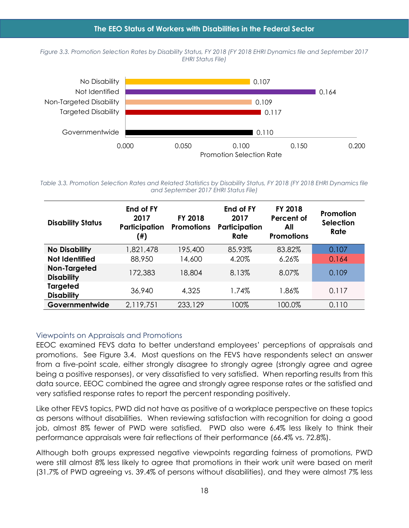<span id="page-24-2"></span>*Figure 3.3. Promotion Selection Rates by Disability Status, FY 2018 (FY 2018 EHRI Dynamics file and September 2017 EHRI Status File)*



<span id="page-24-1"></span>*Table 3.3. Promotion Selection Rates and Related Statistics by Disability Status, FY 2018 (FY 2018 EHRI Dynamics file and September 2017 EHRI Status File)*

| <b>Disability Status</b>             | End of FY<br>2017<br>Participation<br>(#) | FY 2018<br><b>Promotions</b> | End of FY<br>2017<br>Participation<br>Rate | FY 2018<br>Percent of<br>All<br><b>Promotions</b> | Promotion<br><b>Selection</b><br>Rate |
|--------------------------------------|-------------------------------------------|------------------------------|--------------------------------------------|---------------------------------------------------|---------------------------------------|
| <b>No Disability</b>                 | 1,821,478                                 | 195,400                      | 85.93%                                     | 83.82%                                            | 0.107                                 |
| <b>Not Identified</b>                | 88,950                                    | 14,600                       | 4.20%                                      | 6.26%                                             | 0.164                                 |
| Non-Targeted<br><b>Disability</b>    | 172,383                                   | 18,804                       | 8.13%                                      | 8.07%                                             | 0.109                                 |
| <b>Targeted</b><br><b>Disability</b> | 36,940                                    | 4,325                        | 1.74%                                      | 1.86%                                             | 0.117                                 |
| Governmentwide                       | 2,119,751                                 | 233,129                      | 100%                                       | 100.0%                                            | 0.110                                 |

#### <span id="page-24-0"></span>Viewpoints on Appraisals and Promotions

EEOC examined FEVS data to better understand employees' perceptions of appraisals and promotions. See Figure 3.4. Most questions on the FEVS have respondents select an answer from a five-point scale, either strongly disagree to strongly agree (strongly agree and agree being a positive responses), or very dissatisfied to very satisfied. When reporting results from this data source, EEOC combined the agree and strongly agree response rates or the satisfied and very satisfied response rates to report the percent responding positively.

Like other FEVS topics, PWD did not have as positive of a workplace perspective on these topics as persons without disabilities. When reviewing satisfaction with recognition for doing a good job, almost 8% fewer of PWD were satisfied. PWD also were 6.4% less likely to think their performance appraisals were fair reflections of their performance (66.4% vs. 72.8%).

Although both groups expressed negative viewpoints regarding fairness of promotions, PWD were still almost 8% less likely to agree that promotions in their work unit were based on merit (31.7% of PWD agreeing vs. 39.4% of persons without disabilities), and they were almost 7% less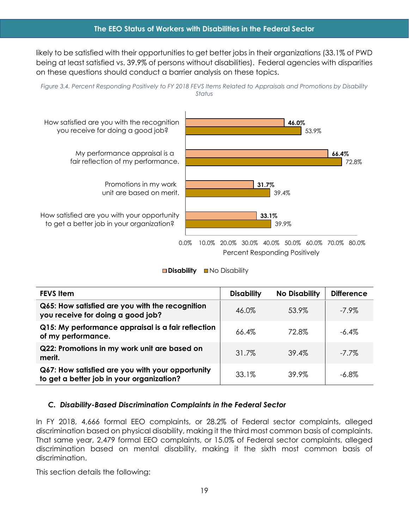likely to be satisfied with their opportunities to get better jobs in their organizations (33.1% of PWD being at least satisfied vs. 39.9% of persons without disabilities). Federal agencies with disparities on these questions should conduct a barrier analysis on these topics.

<span id="page-25-1"></span>



Percent Responding Positively



| <b>FEVS Item</b>                                                                              | <b>Disability</b> | <b>No Disability</b> | <b>Difference</b> |
|-----------------------------------------------------------------------------------------------|-------------------|----------------------|-------------------|
| Q65: How satisfied are you with the recognition<br>you receive for doing a good job?          | 46.0%             | 53.9%                | $-7.9\%$          |
| Q15: My performance appraisal is a fair reflection<br>of my performance.                      | 66.4%             | 72.8%                | $-6.4\%$          |
| Q22: Promotions in my work unit are based on<br>merit.                                        | 31.7%             | 39.4%                | $-7.7\%$          |
| Q67: How satisfied are you with your opportunity<br>to get a better job in your organization? | 33.1%             | 39.9%                | $-6.8\%$          |

#### <span id="page-25-0"></span>*C. Disability-Based Discrimination Complaints in the Federal Sector*

In FY 2018, 4,666 formal EEO complaints, or 28.2% of Federal sector complaints, alleged discrimination based on physical disability, making it the third most common basis of complaints. That same year, 2,479 formal EEO complaints, or 15.0% of Federal sector complaints, alleged discrimination based on mental disability, making it the sixth most common basis of discrimination.

This section details the following: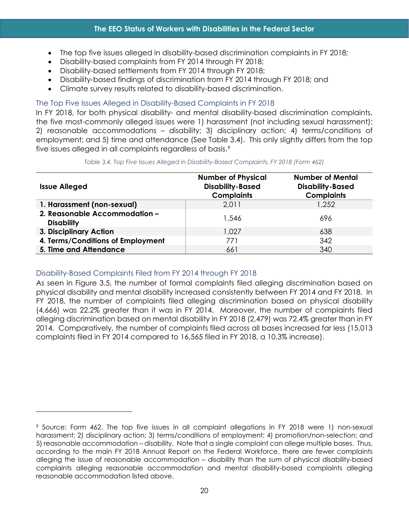- The top five issues alleged in disability-based discrimination complaints in FY 2018;
- Disability-based complaints from FY 2014 through FY 2018;
- Disability-based settlements from FY 2014 through FY 2018;
- Disability-based findings of discrimination from FY 2014 through FY 2018; and
- Climate survey results related to disability-based discrimination.

## <span id="page-26-0"></span>The Top Five Issues Alleged in Disability-Based Complaints in FY 2018

In FY 2018, for both physical disability- and mental disability-based discrimination complaints, the five most-commonly alleged issues were 1) harassment (not including sexual harassment); 2) reasonable accommodations – disability; 3) disciplinary action; 4) terms/conditions of employment; and 5) time and attendance (See Table 3.4). This only slightly differs from the top five issues alleged in all complaints regardless of basis.<sup>9</sup>

<span id="page-26-2"></span>

| <b>Issue Alleged</b>                               | <b>Number of Physical</b><br><b>Disability-Based</b><br><b>Complaints</b> | <b>Number of Mental</b><br><b>Disability-Based</b><br><b>Complaints</b> |
|----------------------------------------------------|---------------------------------------------------------------------------|-------------------------------------------------------------------------|
| 1. Harassment (non-sexual)                         | 2,011                                                                     | 1,252                                                                   |
| 2. Reasonable Accommodation -<br><b>Disability</b> | 1.546                                                                     | 696                                                                     |
| 3. Disciplinary Action                             | 1.027                                                                     | 638                                                                     |
| 4. Terms/Conditions of Employment                  | 771                                                                       | 342                                                                     |
| 5. Time and Attendance                             | 661                                                                       | 340                                                                     |

*Table 3.4. Top Five Issues Alleged in Disability-Based Complaints, FY 2018 (Form 462)*

## <span id="page-26-1"></span>Disability-Based Complaints Filed from FY 2014 through FY 2018

As seen in Figure 3.5, the number of formal complaints filed alleging discrimination based on physical disability and mental disability increased consistently between FY 2014 and FY 2018. In FY 2018, the number of complaints filed alleging discrimination based on physical disability (4,666) was 22.2% greater than it was in FY 2014. Moreover, the number of complaints filed alleging discrimination based on mental disability in FY 2018 (2,479) was 72.4% greater than in FY 2014. Comparatively, the number of complaints filed across all bases increased far less (15,013 complaints filed in FY 2014 compared to 16,565 filed in FY 2018, a 10.3% increase).

<span id="page-26-3"></span><sup>9</sup> Source: Form 462. The top five issues in all complaint allegations in FY 2018 were 1) non-sexual harassment; 2) disciplinary action; 3) terms/conditions of employment; 4) promotion/non-selection; and 5) reasonable accommodation – disability. Note that a single complaint can allege multiple bases. Thus, according to the main FY 2018 Annual Report on the Federal Workforce, there are fewer complaints alleging the issue of reasonable accommodation – disability than the sum of physical disability-based complaints alleging reasonable accommodation and mental disability-based complaints alleging reasonable accommodation listed above.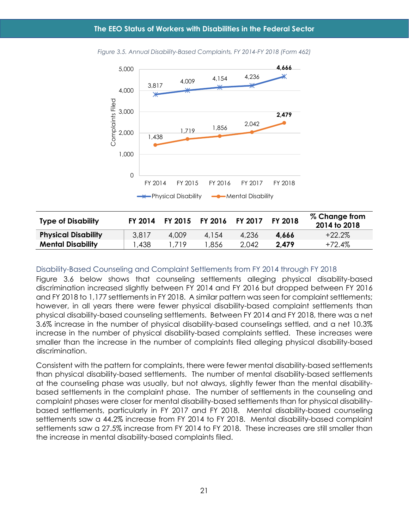

<span id="page-27-1"></span>*Figure 3.5. Annual Disability-Based Complaints, FY 2014-FY 2018 (Form 462)*

| <b>Type of Disability</b>  | FY 2014 | FY 2015 | <b>FY 2016</b> | <b>FY 2017</b> | FY 2018 | % Change from<br>2014 to 2018 |
|----------------------------|---------|---------|----------------|----------------|---------|-------------------------------|
| <b>Physical Disability</b> | 3,817   | 4,009   | 4,154          | 4,236          | 4.666   | $+22.2\%$                     |
| <b>Mental Disability</b>   | ,438    | . 719   | ,856           | 2.042          | 2.479   | $+72.4%$                      |

#### <span id="page-27-0"></span>Disability-Based Counseling and Complaint Settlements from FY 2014 through FY 2018

Figure 3.6 below shows that counseling settlements alleging physical disability-based discrimination increased slightly between FY 2014 and FY 2016 but dropped between FY 2016 and FY 2018 to 1,177 settlements in FY 2018. A similar pattern was seen for complaint settlements; however, in all years there were fewer physical disability-based complaint settlements than physical disability-based counseling settlements. Between FY 2014 and FY 2018, there was a net 3.6% increase in the number of physical disability-based counselings settled, and a net 10.3% increase in the number of physical disability-based complaints settled. These increases were smaller than the increase in the number of complaints filed alleging physical disability-based discrimination.

Consistent with the pattern for complaints, there were fewer mental disability-based settlements than physical disability-based settlements. The number of mental disability-based settlements at the counseling phase was usually, but not always, slightly fewer than the mental disabilitybased settlements in the complaint phase. The number of settlements in the counseling and complaint phases were closer for mental disability-based settlements than for physical disabilitybased settlements, particularly in FY 2017 and FY 2018. Mental disability-based counseling settlements saw a 44.2% increase from FY 2014 to FY 2018. Mental disability-based complaint settlements saw a 27.5% increase from FY 2014 to FY 2018. These increases are still smaller than the increase in mental disability-based complaints filed.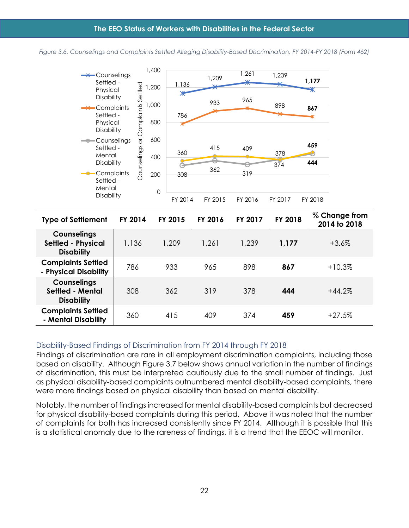<span id="page-28-1"></span>



| <b>Type of Settlement</b>                                            | FY 2014 | FY 2015 | FY 2016 | <b>FY 2017</b> | FY 2018 | % Change from<br>2014 to 2018 |
|----------------------------------------------------------------------|---------|---------|---------|----------------|---------|-------------------------------|
| <b>Counselings</b><br><b>Settled - Physical</b><br><b>Disability</b> | 1,136   | 1,209   | 1.261   | 1.239          | 1,177   | $+3.6\%$                      |
| <b>Complaints Settled</b><br>- Physical Disability                   | 786     | 933     | 965     | 898            | 867     | $+10.3%$                      |
| <b>Counselings</b><br>Settled - Mental<br><b>Disability</b>          | 308     | 362     | 319     | 378            | 444     | $+44.2%$                      |
| <b>Complaints Settled</b><br>- Mental Disability                     | 360     | 415     | 409     | 374            | 459     | $+27.5%$                      |

## <span id="page-28-0"></span>Disability-Based Findings of Discrimination from FY 2014 through FY 2018

Findings of discrimination are rare in all employment discrimination complaints, including those based on disability. Although Figure 3.7 below shows annual variation in the number of findings of discrimination, this must be interpreted cautiously due to the small number of findings. Just as physical disability-based complaints outnumbered mental disability-based complaints, there were more findings based on physical disability than based on mental disability.

Notably, the number of findings increased for mental disability-based complaints but decreased for physical disability-based complaints during this period. Above it was noted that the number of complaints for both has increased consistently since FY 2014. Although it is possible that this is a statistical anomaly due to the rareness of findings, it is a trend that the EEOC will monitor.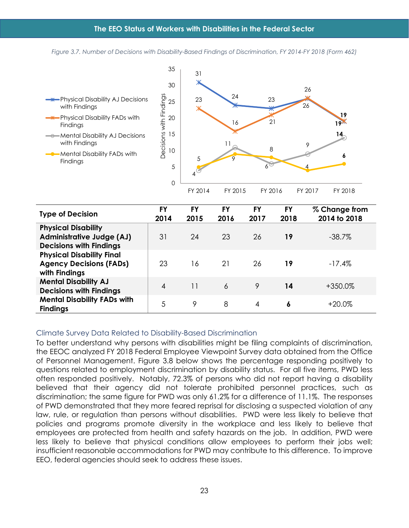*Figure 3.7. Number of Decisions with Disability-Based Findings of Discrimination, FY 2014-FY 2018 (Form 462)*

<span id="page-29-1"></span>

| <b>Type of Decision</b>                                                                          | FY<br>2014             | FY<br>2015 | FY<br>2016 | FY<br>2017 | <b>FY</b><br>2018 | % Change from<br>2014 to 2018 |
|--------------------------------------------------------------------------------------------------|------------------------|------------|------------|------------|-------------------|-------------------------------|
| <b>Physical Disability</b><br><b>Administrative Judge (AJ)</b><br><b>Decisions with Findings</b> | 31                     | 24         | 23         | 26         | 19                | $-38.7\%$                     |
| <b>Physical Disability Final</b><br><b>Agency Decisions (FADs)</b><br>with Findings              | 23                     | 16         | 21         | 26         | 19                | $-17.4%$                      |
| <b>Mental Disability AJ</b><br><b>Decisions with Findings</b>                                    | $\boldsymbol{\Lambda}$ | 11         | 6          | 9          | 14                | +350.0%                       |
| <b>Mental Disability FADs with</b><br><b>Findings</b>                                            | 5                      | 9          | 8          | 4          | ٥                 | +20.0%                        |

#### <span id="page-29-0"></span>Climate Survey Data Related to Disability-Based Discrimination

To better understand why persons with disabilities might be filing complaints of discrimination, the EEOC analyzed FY 2018 Federal Employee Viewpoint Survey data obtained from the Office of Personnel Management. Figure 3.8 below shows the percentage responding positively to questions related to employment discrimination by disability status. For all five items, PWD less often responded positively. Notably, 72.3% of persons who did not report having a disability believed that their agency did not tolerate prohibited personnel practices, such as discrimination; the same figure for PWD was only 61.2% for a difference of 11.1%. The responses of PWD demonstrated that they more feared reprisal for disclosing a suspected violation of any law, rule, or regulation than persons without disabilities. PWD were less likely to believe that policies and programs promote diversity in the workplace and less likely to believe that employees are protected from health and safety hazards on the job. In addition, PWD were less likely to believe that physical conditions allow employees to perform their jobs well; insufficient reasonable accommodations for PWD may contribute to this difference. To improve EEO, federal agencies should seek to address these issues.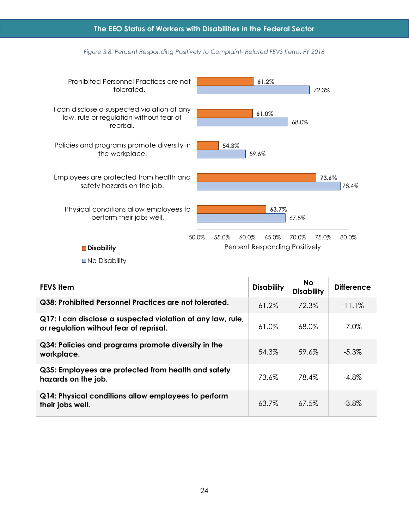<span id="page-30-0"></span>

*Figure 3.8. Percent Responding Positively to Complaint- Related FEVS Items, FY 2018*

■No Disability

| <b>FEVS Item</b>                                                                                       | <b>Disability</b> | <b>No</b><br><b>Disability</b> | <b>Difference</b> |
|--------------------------------------------------------------------------------------------------------|-------------------|--------------------------------|-------------------|
| Q38: Prohibited Personnel Practices are not tolerated.                                                 | 61.2%             | 72.3%                          | $-11.1\%$         |
| Q17: I can disclose a suspected violation of any law, rule,<br>or regulation without fear of reprisal. | 61.0%             | 68.0%                          | $-7.0\%$          |
| Q34: Policies and programs promote diversity in the<br>workplace.                                      | 54.3%             | 59.6%                          | $-5.3\%$          |
| Q35: Employees are protected from health and safety<br>hazards on the job.                             | 73.6%             | 78.4%                          | $-4.8\%$          |
| Q14: Physical conditions allow employees to perform<br>their jobs well.                                | 63.7%             | 67.5%                          | $-3.8\%$          |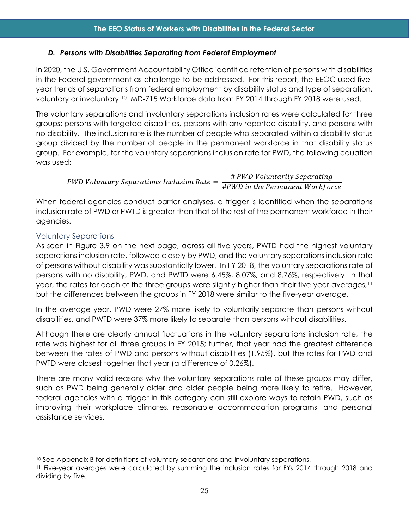## <span id="page-31-0"></span>*D. Persons with Disabilities Separating from Federal Employment*

In 2020, the U.S. Government Accountability Office identified retention of persons with disabilities in the Federal government as challenge to be addressed. For this report, the EEOC used fiveyear trends of separations from federal employment by disability status and type of separation, voluntary or involuntary.[10](#page-31-2) MD-715 Workforce data from FY 2014 through FY 2018 were used.

The voluntary separations and involuntary separations inclusion rates were calculated for three groups: persons with targeted disabilities, persons with any reported disability, and persons with no disability. The inclusion rate is the number of people who separated within a disability status group divided by the number of people in the permanent workforce in that disability status group. For example, for the voluntary separations inclusion rate for PWD, the following equation was used:

PWD Voluntary Separations Inclusion Rate =  $\frac{\text{\#} \textit{PWD} \textit{V} \textit{oluntarily} \textit{Separating}}{\text{\#} \textit{PWD} \textit{in the Permanent} \textit{Workfor}}$ 

When federal agencies conduct barrier analyses, a trigger is identified when the separations inclusion rate of PWD or PWTD is greater than that of the rest of the permanent workforce in their agencies.

## <span id="page-31-1"></span>Voluntary Separations

As seen in Figure 3.9 on the next page, across all five years, PWTD had the highest voluntary separations inclusion rate, followed closely by PWD, and the voluntary separations inclusion rate of persons without disability was substantially lower. In FY 2018, the voluntary separations rate of persons with no disability, PWD, and PWTD were 6.45%, 8.07%, and 8.76%, respectively. In that year, the rates for each of the three groups were slightly higher than their five-year averages,[11](#page-31-3) but the differences between the groups in FY 2018 were similar to the five-year average.

In the average year, PWD were 27% more likely to voluntarily separate than persons without disabilities, and PWTD were 37% more likely to separate than persons without disabilities.

Although there are clearly annual fluctuations in the voluntary separations inclusion rate, the rate was highest for all three groups in FY 2015; further, that year had the greatest difference between the rates of PWD and persons without disabilities (1.95%), but the rates for PWD and PWTD were closest together that year (a difference of 0.26%).

There are many valid reasons why the voluntary separations rate of these groups may differ, such as PWD being generally older and older people being more likely to retire. However, federal agencies with a trigger in this category can still explore ways to retain PWD, such as improving their workplace climates, reasonable accommodation programs, and personal assistance services.

<span id="page-31-2"></span><sup>&</sup>lt;sup>10</sup> See Appendix B for definitions of voluntary separations and involuntary separations.

<span id="page-31-3"></span><sup>11</sup> Five-year averages were calculated by summing the inclusion rates for FYs 2014 through 2018 and dividing by five.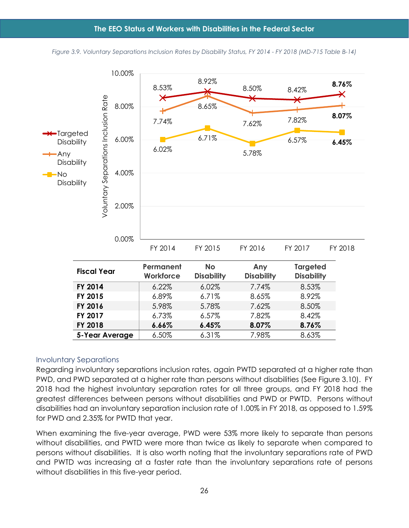<span id="page-32-1"></span>

*Figure 3.9. Voluntary Separations Inclusion Rates by Disability Status, FY 2014 - FY 2018 (MD-715 Table B-14)*

#### <span id="page-32-0"></span>Involuntary Separations

Regarding involuntary separations inclusion rates, again PWTD separated at a higher rate than PWD, and PWD separated at a higher rate than persons without disabilities (See Figure 3.10). FY 2018 had the highest involuntary separation rates for all three groups, and FY 2018 had the greatest differences between persons without disabilities and PWD or PWTD. Persons without disabilities had an involuntary separation inclusion rate of 1.00% in FY 2018, as opposed to 1.59% for PWD and 2.35% for PWTD that year.

When examining the five-year average, PWD were 53% more likely to separate than persons without disabilities, and PWTD were more than twice as likely to separate when compared to persons without disabilities. It is also worth noting that the involuntary separations rate of PWD and PWTD was increasing at a faster rate than the involuntary separations rate of persons without disabilities in this five-year period.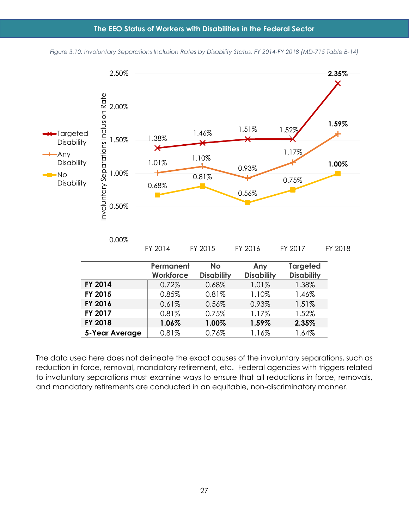#### **The EEO Status of Workers with Disabilities in the Federal Sector**

<span id="page-33-0"></span>

*Figure 3.10. Involuntary Separations Inclusion Rates by Disability Status, FY 2014-FY 2018 (MD-715 Table B-14)*

The data used here does not delineate the exact causes of the involuntary separations, such as reduction in force, removal, mandatory retirement, etc. Federal agencies with triggers related to involuntary separations must examine ways to ensure that all reductions in force, removals, and mandatory retirements are conducted in an equitable, non-discriminatory manner.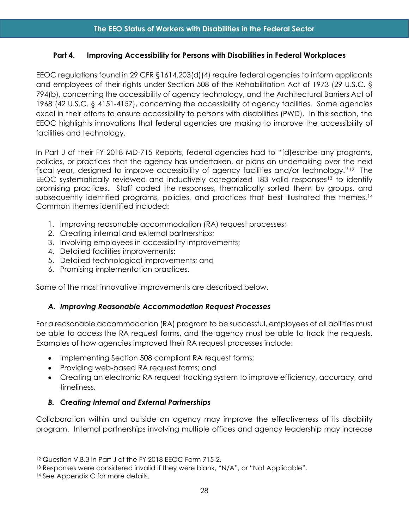## <span id="page-34-0"></span>**Part 4. Improving Accessibility for Persons with Disabilities in Federal Workplaces**

EEOC regulations found in 29 CFR §1614.203(d)(4) require federal agencies to inform applicants and employees of their rights under Section 508 of the Rehabilitation Act of 1973 (29 U.S.C. § 794(b), concerning the accessibility of agency technology, and the Architectural Barriers Act of 1968 (42 U.S.C. § 4151-4157), concerning the accessibility of agency facilities. Some agencies excel in their efforts to ensure accessibility to persons with disabilities (PWD). In this section, the EEOC highlights innovations that federal agencies are making to improve the accessibility of facilities and technology.

In Part J of their FY 2018 MD-715 Reports, federal agencies had to "[d]escribe any programs, policies, or practices that the agency has undertaken, or plans on undertaking over the next fiscal year, designed to improve accessibility of agency facilities and/or technology."[12](#page-34-3) The EEOC systematically reviewed and inductively categorized  $183$  valid responses<sup>[13](#page-34-4)</sup> to identify promising practices. Staff coded the responses, thematically sorted them by groups, and subsequently identified programs, policies, and practices that best illustrated the themes.<sup>[14](#page-34-5)</sup> Common themes identified included:

- 1. Improving reasonable accommodation (RA) request processes;
- 2. Creating internal and external partnerships;
- 3. Involving employees in accessibility improvements;
- 4. Detailed facilities improvements;
- 5. Detailed technological improvements; and
- 6. Promising implementation practices.

Some of the most innovative improvements are described below.

## <span id="page-34-1"></span>*A. Improving Reasonable Accommodation Request Processes*

For a reasonable accommodation (RA) program to be successful, employees of all abilities must be able to access the RA request forms, and the agency must be able to track the requests. Examples of how agencies improved their RA request processes include:

- Implementing Section 508 compliant RA request forms;
- Providing web-based RA request forms; and
- Creating an electronic RA request tracking system to improve efficiency, accuracy, and timeliness.

## <span id="page-34-2"></span>*B. Creating Internal and External Partnerships*

Collaboration within and outside an agency may improve the effectiveness of its disability program. Internal partnerships involving multiple offices and agency leadership may increase

<span id="page-34-3"></span><sup>12</sup> Question V.B.3 in Part J of the FY 2018 EEOC Form 715-2.

<span id="page-34-4"></span><sup>13</sup> Responses were considered invalid if they were blank, "N/A", or "Not Applicable".

<span id="page-34-5"></span><sup>&</sup>lt;sup>14</sup> See Appendix C for more details.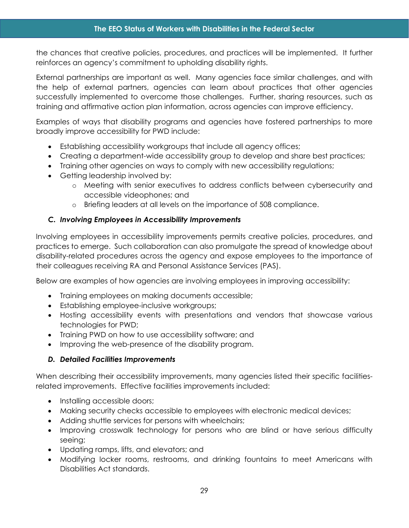the chances that creative policies, procedures, and practices will be implemented. It further reinforces an agency's commitment to upholding disability rights.

External partnerships are important as well. Many agencies face similar challenges, and with the help of external partners, agencies can learn about practices that other agencies successfully implemented to overcome those challenges. Further, sharing resources, such as training and affirmative action plan information, across agencies can improve efficiency.

Examples of ways that disability programs and agencies have fostered partnerships to more broadly improve accessibility for PWD include:

- Establishing accessibility workgroups that include all agency offices;
- Creating a department-wide accessibility group to develop and share best practices;
- Training other agencies on ways to comply with new accessibility regulations;
- Getting leadership involved by:
	- o Meeting with senior executives to address conflicts between cybersecurity and accessible videophones; and
	- o Briefing leaders at all levels on the importance of 508 compliance.

# <span id="page-35-0"></span>*C. Involving Employees in Accessibility Improvements*

Involving employees in accessibility improvements permits creative policies, procedures, and practices to emerge. Such collaboration can also promulgate the spread of knowledge about disability-related procedures across the agency and expose employees to the importance of their colleagues receiving RA and Personal Assistance Services (PAS).

Below are examples of how agencies are involving employees in improving accessibility:

- Training employees on making documents accessible;
- Establishing employee-inclusive workgroups;
- Hosting accessibility events with presentations and vendors that showcase various technologies for PWD;
- Training PWD on how to use accessibility software; and
- Improving the web-presence of the disability program.

## <span id="page-35-1"></span>*D. Detailed Facilities Improvements*

When describing their accessibility improvements, many agencies listed their specific facilitiesrelated improvements. Effective facilities improvements included:

- Installing accessible doors;
- Making security checks accessible to employees with electronic medical devices;
- Adding shuttle services for persons with wheelchairs;
- Improving crosswalk technology for persons who are blind or have serious difficulty seeing;
- Updating ramps, lifts, and elevators; and
- Modifying locker rooms, restrooms, and drinking fountains to meet Americans with Disabilities Act standards.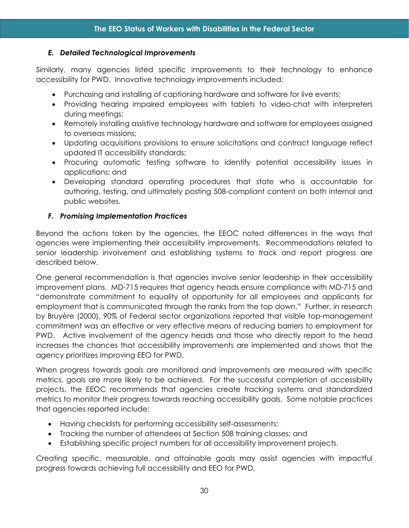## <span id="page-36-0"></span>*E. Detailed Technological Improvements*

Similarly, many agencies listed specific improvements to their technology to enhance accessibility for PWD. Innovative technology improvements included:

- Purchasing and installing of captioning hardware and software for live events;
- Providing hearing impaired employees with tablets to video-chat with interpreters during meetings;
- Remotely installing assistive technology hardware and software for employees assigned to overseas missions;
- Updating acquisitions provisions to ensure solicitations and contract language reflect updated IT accessibility standards;
- Procuring automatic testing software to identify potential accessibility issues in applications; and
- Developing standard operating procedures that state who is accountable for authoring, testing, and ultimately posting 508-compliant content on both internal and public websites.

# <span id="page-36-1"></span>*F. Promising Implementation Practices*

Beyond the actions taken by the agencies, the EEOC noted differences in the ways that agencies were implementing their accessibility improvements. Recommendations related to senior leadership involvement and establishing systems to track and report progress are described below.

One general recommendation is that agencies involve senior leadership in their accessibility improvement plans. MD-715 requires that agency heads ensure compliance with MD-715 and "demonstrate commitment to equality of opportunity for all employees and applicants for employment that is communicated through the ranks from the top down." Further, in research by Bruyère (2000), 90% of Federal sector organizations reported that visible top-management commitment was an effective or very effective means of reducing barriers to employment for PWD. Active involvement of the agency heads and those who directly report to the head increases the chances that accessibility improvements are implemented and shows that the agency prioritizes improving EEO for PWD.

When progress towards goals are monitored and improvements are measured with specific metrics, goals are more likely to be achieved. For the successful completion of accessibility projects, the EEOC recommends that agencies create tracking systems and standardized metrics to monitor their progress towards reaching accessibility goals. Some notable practices that agencies reported include:

- Having checklists for performing accessibility self-assessments;
- Tracking the number of attendees at Section 508 training classes; and
- Establishing specific project numbers for all accessibility improvement projects.

Creating specific, measurable, and attainable goals may assist agencies with impactful progress towards achieving full accessibility and EEO for PWD.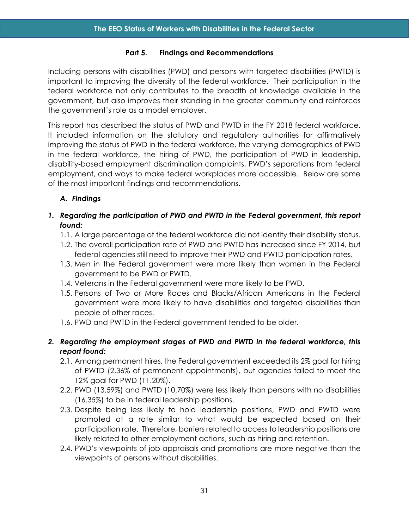#### **Part 5. Findings and Recommendations**

<span id="page-37-0"></span>Including persons with disabilities (PWD) and persons with targeted disabilities (PWTD) is important to improving the diversity of the federal workforce. Their participation in the federal workforce not only contributes to the breadth of knowledge available in the government, but also improves their standing in the greater community and reinforces the government's role as a model employer.

This report has described the status of PWD and PWTD in the FY 2018 federal workforce. It included information on the statutory and regulatory authorities for affirmatively improving the status of PWD in the federal workforce, the varying demographics of PWD in the federal workforce, the hiring of PWD, the participation of PWD in leadership, disability-based employment discrimination complaints, PWD's separations from federal employment, and ways to make federal workplaces more accessible. Below are some of the most important findings and recommendations.

# <span id="page-37-1"></span>*A. Findings*

# *1. Regarding the participation of PWD and PWTD in the Federal government, this report found:*

- 1.1. A large percentage of the federal workforce did not identify their disability status.
- 1.2. The overall participation rate of PWD and PWTD has increased since FY 2014, but federal agencies still need to improve their PWD and PWTD participation rates.
- 1.3. Men in the Federal government were more likely than women in the Federal government to be PWD or PWTD.
- 1.4. Veterans in the Federal government were more likely to be PWD.
- 1.5. Persons of Two or More Races and Blacks/African Americans in the Federal government were more likely to have disabilities and targeted disabilities than people of other races.
- 1.6. PWD and PWTD in the Federal government tended to be older.
- *2. Regarding the employment stages of PWD and PWTD in the federal workforce, this report found:*
	- 2.1. Among permanent hires, the Federal government exceeded its 2% goal for hiring of PWTD (2.36% of permanent appointments), but agencies failed to meet the 12% goal for PWD (11.20%).
	- 2.2. PWD (13.59%) and PWTD (10.70%) were less likely than persons with no disabilities (16.35%) to be in federal leadership positions.
	- 2.3. Despite being less likely to hold leadership positions, PWD and PWTD were promoted at a rate similar to what would be expected based on their participation rate. Therefore, barriers related to access to leadership positions are likely related to other employment actions, such as hiring and retention.
	- 2.4. PWD's viewpoints of job appraisals and promotions are more negative than the viewpoints of persons without disabilities.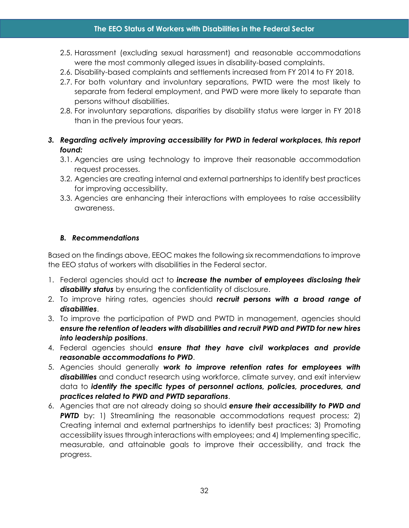- 2.5. Harassment (excluding sexual harassment) and reasonable accommodations were the most commonly alleged issues in disability-based complaints.
- 2.6. Disability-based complaints and settlements increased from FY 2014 to FY 2018.
- 2.7. For both voluntary and involuntary separations, PWTD were the most likely to separate from federal employment, and PWD were more likely to separate than persons without disabilities.
- 2.8. For involuntary separations, disparities by disability status were larger in FY 2018 than in the previous four years.
- *3. Regarding actively improving accessibility for PWD in federal workplaces, this report found:*
	- 3.1. Agencies are using technology to improve their reasonable accommodation request processes.
	- 3.2. Agencies are creating internal and external partnerships to identify best practices for improving accessibility.
	- 3.3. Agencies are enhancing their interactions with employees to raise accessibility awareness.

# <span id="page-38-0"></span>*B. Recommendations*

Based on the findings above, EEOC makes the following six recommendations to improve the EEO status of workers with disabilities in the Federal sector.

- 1. Federal agencies should act to *increase the number of employees disclosing their disability status* by ensuring the confidentiality of disclosure.
- 2. To improve hiring rates, agencies should *recruit persons with a broad range of disabilities*.
- 3. To improve the participation of PWD and PWTD in management, agencies should *ensure the retention of leaders with disabilities and recruit PWD and PWTD for new hires into leadership positions*.
- 4. Federal agencies should *ensure that they have civil workplaces and provide reasonable accommodations to PWD*.
- 5. Agencies should generally *work to improve retention rates for employees with disabilities* and conduct research using workforce, climate survey, and exit interview data to *identify the specific types of personnel actions, policies, procedures, and practices related to PWD and PWTD separations*.
- 6. Agencies that are not already doing so should *ensure their accessibility to PWD and*  **PWTD** by: 1) Streamlining the reasonable accommodations request process; 2) Creating internal and external partnerships to identify best practices; 3) Promoting accessibility issues through interactions with employees; and 4) Implementing specific, measurable, and attainable goals to improve their accessibility, and track the progress.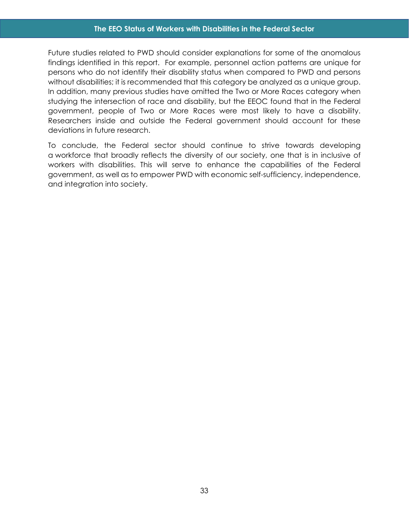#### **The EEO Status of Workers with Disabilities in the Federal Sector**

Future studies related to PWD should consider explanations for some of the anomalous findings identified in this report. For example, personnel action patterns are unique for persons who do not identify their disability status when compared to PWD and persons without disabilities; it is recommended that this category be analyzed as a unique group. In addition, many previous studies have omitted the Two or More Races category when studying the intersection of race and disability, but the EEOC found that in the Federal government, people of Two or More Races were most likely to have a disability. Researchers inside and outside the Federal government should account for these deviations in future research.

To conclude, the Federal sector should continue to strive towards developing a workforce that broadly reflects the diversity of our society, one that is in inclusive of workers with disabilities. This will serve to enhance the capabilities of the Federal government, as well as to empower PWD with economic self-sufficiency, independence, and integration into society.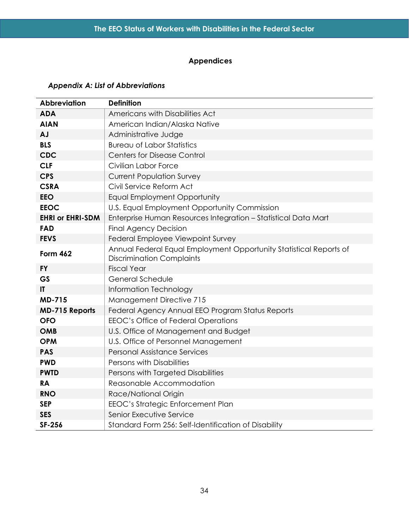# **Appendices**

# <span id="page-40-1"></span><span id="page-40-0"></span>*Appendix A: List of Abbreviations*

| <b>Abbreviation</b>     | <b>Definition</b>                                                                                      |
|-------------------------|--------------------------------------------------------------------------------------------------------|
| <b>ADA</b>              | Americans with Disabilities Act                                                                        |
| <b>AIAN</b>             | American Indian/Alaska Native                                                                          |
| <b>AJ</b>               | Administrative Judge                                                                                   |
| <b>BLS</b>              | <b>Bureau of Labor Statistics</b>                                                                      |
| <b>CDC</b>              | <b>Centers for Disease Control</b>                                                                     |
| <b>CLF</b>              | Civilian Labor Force                                                                                   |
| <b>CPS</b>              | <b>Current Population Survey</b>                                                                       |
| <b>CSRA</b>             | Civil Service Reform Act                                                                               |
| <b>EEO</b>              | <b>Equal Employment Opportunity</b>                                                                    |
| <b>EEOC</b>             | U.S. Equal Employment Opportunity Commission                                                           |
| <b>EHRI or EHRI-SDM</b> | Enterprise Human Resources Integration - Statistical Data Mart                                         |
| <b>FAD</b>              | <b>Final Agency Decision</b>                                                                           |
| <b>FEVS</b>             | Federal Employee Viewpoint Survey                                                                      |
| <b>Form 462</b>         | Annual Federal Equal Employment Opportunity Statistical Reports of<br><b>Discrimination Complaints</b> |
| <b>FY</b>               | <b>Fiscal Year</b>                                                                                     |
| <b>GS</b>               | General Schedule                                                                                       |
| $\mathbf{I}$            | Information Technology                                                                                 |
| <b>MD-715</b>           | <b>Management Directive 715</b>                                                                        |
| <b>MD-715 Reports</b>   | Federal Agency Annual EEO Program Status Reports                                                       |
| <b>OFO</b>              | EEOC's Office of Federal Operations                                                                    |
| <b>OMB</b>              | U.S. Office of Management and Budget                                                                   |
| <b>OPM</b>              | U.S. Office of Personnel Management                                                                    |
| <b>PAS</b>              | <b>Personal Assistance Services</b>                                                                    |
| <b>PWD</b>              | Persons with Disabilities                                                                              |
| <b>PWTD</b>             | Persons with Targeted Disabilities                                                                     |
| <b>RA</b>               | Reasonable Accommodation                                                                               |
| <b>RNO</b>              | Race/National Origin                                                                                   |
| <b>SEP</b>              | EEOC's Strategic Enforcement Plan                                                                      |
| <b>SES</b>              | Senior Executive Service                                                                               |
| SF-256                  | Standard Form 256: Self-Identification of Disability                                                   |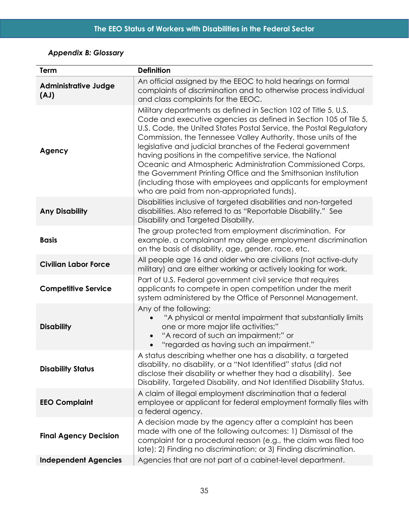# <span id="page-41-0"></span>*Appendix B: Glossary*

| <b>Term</b>                         | <b>Definition</b>                                                                                                                                                                                                                                                                                                                                                                                                                                                                                                                                                                                                                                      |
|-------------------------------------|--------------------------------------------------------------------------------------------------------------------------------------------------------------------------------------------------------------------------------------------------------------------------------------------------------------------------------------------------------------------------------------------------------------------------------------------------------------------------------------------------------------------------------------------------------------------------------------------------------------------------------------------------------|
| <b>Administrative Judge</b><br>(LA) | An official assigned by the EEOC to hold hearings on formal<br>complaints of discrimination and to otherwise process individual<br>and class complaints for the EEOC.                                                                                                                                                                                                                                                                                                                                                                                                                                                                                  |
| Agency                              | Military departments as defined in Section 102 of Title 5, U.S.<br>Code and executive agencies as defined in Section 105 of Tile 5,<br>U.S. Code, the United States Postal Service, the Postal Regulatory<br>Commission, the Tennessee Valley Authority, those units of the<br>legislative and judicial branches of the Federal government<br>having positions in the competitive service, the National<br>Oceanic and Atmospheric Administration Commissioned Corps,<br>the Government Printing Office and the Smithsonian Institution<br>(including those with employees and applicants for employment<br>who are paid from non-appropriated funds). |
| <b>Any Disability</b>               | Disabilities inclusive of targeted disabilities and non-targeted<br>disabilities. Also referred to as "Reportable Disability." See<br>Disability and Targeted Disability.                                                                                                                                                                                                                                                                                                                                                                                                                                                                              |
| <b>Basis</b>                        | The group protected from employment discrimination. For<br>example, a complainant may allege employment discrimination<br>on the basis of disability, age, gender, race, etc.                                                                                                                                                                                                                                                                                                                                                                                                                                                                          |
| <b>Civilian Labor Force</b>         | All people age 16 and older who are civilians (not active-duty<br>military) and are either working or actively looking for work.                                                                                                                                                                                                                                                                                                                                                                                                                                                                                                                       |
| <b>Competitive Service</b>          | Part of U.S. Federal government civil service that requires<br>applicants to compete in open competition under the merit<br>system administered by the Office of Personnel Management.                                                                                                                                                                                                                                                                                                                                                                                                                                                                 |
| <b>Disability</b>                   | Any of the following:<br>"A physical or mental impairment that substantially limits<br>one or more major life activities;"<br>"A record of such an impairment;" or<br>"regarded as having such an impairment."                                                                                                                                                                                                                                                                                                                                                                                                                                         |
| <b>Disability Status</b>            | A status describing whether one has a disability, a targeted<br>disability, no disability, or a "Not Identified" status (did not<br>disclose their disability or whether they had a disability). See<br>Disability, Targeted Disability, and Not Identified Disability Status.                                                                                                                                                                                                                                                                                                                                                                         |
| <b>EEO Complaint</b>                | A claim of illegal employment discrimination that a federal<br>employee or applicant for federal employment formally files with<br>a federal agency.                                                                                                                                                                                                                                                                                                                                                                                                                                                                                                   |
| <b>Final Agency Decision</b>        | A decision made by the agency after a complaint has been<br>made with one of the following outcomes: 1) Dismissal of the<br>complaint for a procedural reason (e.g., the claim was filed too<br>late); 2) Finding no discrimination; or 3) Finding discrimination.                                                                                                                                                                                                                                                                                                                                                                                     |
| <b>Independent Agencies</b>         | Agencies that are not part of a cabinet-level department.                                                                                                                                                                                                                                                                                                                                                                                                                                                                                                                                                                                              |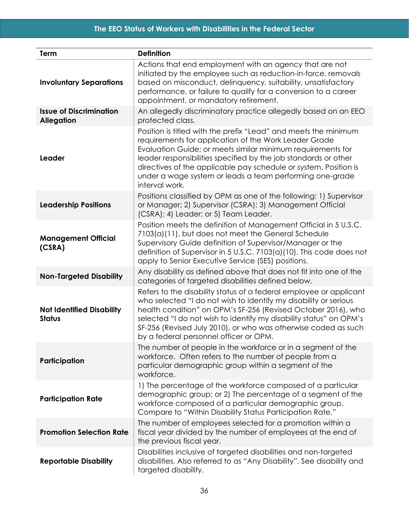# **The EEO Status of Workers with Disabilities in the Federal Sector**

| Term                                                | <b>Definition</b>                                                                                                                                                                                                                                                                                                                                                                                            |
|-----------------------------------------------------|--------------------------------------------------------------------------------------------------------------------------------------------------------------------------------------------------------------------------------------------------------------------------------------------------------------------------------------------------------------------------------------------------------------|
| <b>Involuntary Separations</b>                      | Actions that end employment with an agency that are not<br>initiated by the employee such as reduction-in-force, removals<br>based on misconduct, delinquency, suitability, unsatisfactory<br>performance, or failure to qualify for a conversion to a career<br>appointment, or mandatory retirement.                                                                                                       |
| <b>Issue of Discrimination</b><br><b>Allegation</b> | An allegedly discriminatory practice allegedly based on an EEO<br>protected class.                                                                                                                                                                                                                                                                                                                           |
| Leader                                              | Position is titled with the prefix "Lead" and meets the minimum<br>requirements for application of the Work Leader Grade<br>Evaluation Guide; or meets similar minimum requirements for<br>leader responsibilities specified by the job standards or other<br>directives of the applicable pay schedule or system. Position is<br>under a wage system or leads a team performing one-grade<br>interval work. |
| <b>Leadership Positions</b>                         | Positions classified by OPM as one of the following: 1) Supervisor<br>or Manager; 2) Supervisor (CSRA); 3) Management Official<br>(CSRA); 4) Leader; or 5) Team Leader.                                                                                                                                                                                                                                      |
| <b>Management Official</b><br>(CSRA)                | Position meets the definition of Management Official in 5 U.S.C.<br>7103(a)(11), but does not meet the General Schedule<br>Supervisory Guide definition of Supervisor/Manager or the<br>definition of Supervisor in 5 U.S.C. 7103(a)(10). This code does not<br>apply to Senior Executive Service (SES) positions.                                                                                           |
| <b>Non-Targeted Disability</b>                      | Any disability as defined above that does not fit into one of the<br>categories of targeted disabilities defined below.                                                                                                                                                                                                                                                                                      |
| <b>Not Identified Disability</b><br><b>Status</b>   | Refers to the disability status of a federal employee or applicant<br>who selected "I do not wish to identify my disability or serious<br>health condition" on OPM's SF-256 (Revised October 2016), who<br>selected "I do not wish to identify my disability status" on OPM's<br>SF-256 (Revised July 2010), or who was otherwise coded as such<br>by a federal personnel officer or OPM.                    |
| Participation                                       | The number of people in the workforce or in a segment of the<br>workforce. Often refers to the number of people from a<br>particular demographic group within a segment of the<br>workforce.                                                                                                                                                                                                                 |
| <b>Participation Rate</b>                           | 1) The percentage of the workforce composed of a particular<br>demographic group; or 2) The percentage of a segment of the<br>workforce composed of a particular demographic group.<br>Compare to "Within Disability Status Participation Rate."                                                                                                                                                             |
| <b>Promotion Selection Rate</b>                     | The number of employees selected for a promotion within a<br>fiscal year divided by the number of employees at the end of<br>the previous fiscal year.                                                                                                                                                                                                                                                       |
| <b>Reportable Disability</b>                        | Disabilities inclusive of targeted disabilities and non-targeted<br>disabilities. Also referred to as "Any Disability". See disability and<br>targeted disability.                                                                                                                                                                                                                                           |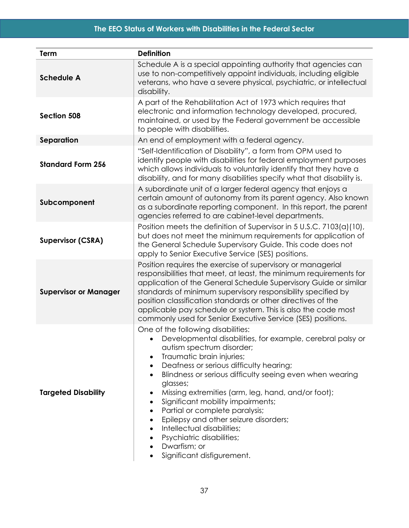| Term                         | <b>Definition</b>                                                                                                                                                                                                                                                                                                                                                                                                                                                                                                                                                                   |
|------------------------------|-------------------------------------------------------------------------------------------------------------------------------------------------------------------------------------------------------------------------------------------------------------------------------------------------------------------------------------------------------------------------------------------------------------------------------------------------------------------------------------------------------------------------------------------------------------------------------------|
| <b>Schedule A</b>            | Schedule A is a special appointing authority that agencies can<br>use to non-competitively appoint individuals, including eligible<br>veterans, who have a severe physical, psychiatric, or intellectual<br>disability.                                                                                                                                                                                                                                                                                                                                                             |
| Section 508                  | A part of the Rehabilitation Act of 1973 which requires that<br>electronic and information technology developed, procured,<br>maintained, or used by the Federal government be accessible<br>to people with disabilities.                                                                                                                                                                                                                                                                                                                                                           |
| Separation                   | An end of employment with a federal agency.                                                                                                                                                                                                                                                                                                                                                                                                                                                                                                                                         |
| <b>Standard Form 256</b>     | "Self-Identification of Disability", a form from OPM used to<br>identify people with disabilities for federal employment purposes<br>which allows individuals to voluntarily identify that they have a<br>disability, and for many disabilities specify what that disability is.                                                                                                                                                                                                                                                                                                    |
| Subcomponent                 | A subordinate unit of a larger federal agency that enjoys a<br>certain amount of autonomy from its parent agency. Also known<br>as a subordinate reporting component. In this report, the parent<br>agencies referred to are cabinet-level departments.                                                                                                                                                                                                                                                                                                                             |
| <b>Supervisor (CSRA)</b>     | Position meets the definition of Supervisor in 5 U.S.C. 7103(a)(10),<br>but does not meet the minimum requirements for application of<br>the General Schedule Supervisory Guide. This code does not<br>apply to Senior Executive Service (SES) positions.                                                                                                                                                                                                                                                                                                                           |
| <b>Supervisor or Manager</b> | Position requires the exercise of supervisory or managerial<br>responsibilities that meet, at least, the minimum requirements for<br>application of the General Schedule Supervisory Guide or similar<br>standards of minimum supervisory responsibility specified by<br>position classification standards or other directives of the<br>applicable pay schedule or system. This is also the code most<br>commonly used for Senior Executive Service (SES) positions.                                                                                                               |
| <b>Targeted Disability</b>   | One of the following disabilities:<br>Developmental disabilities, for example, cerebral palsy or<br>autism spectrum disorder;<br>Traumatic brain injuries;<br>٠<br>Deafness or serious difficulty hearing;<br>Blindness or serious difficulty seeing even when wearing<br>glasses;<br>Missing extremities (arm, leg, hand, and/or foot);<br>٠<br>Significant mobility impairments;<br>$\bullet$<br>Partial or complete paralysis;<br>Epilepsy and other seizure disorders;<br>Intellectual disabilities;<br>Psychiatric disabilities;<br>Dwarfism; or<br>Significant disfigurement. |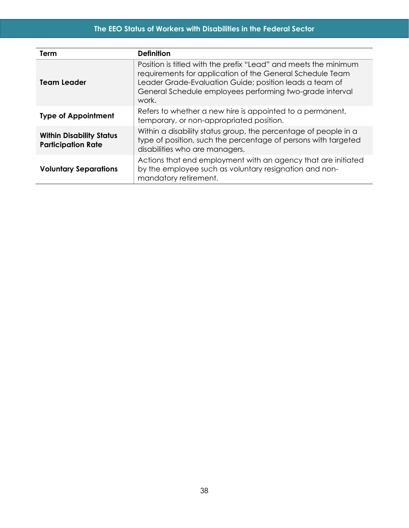| Term                                                         | <b>Definition</b>                                                                                                                                                                                                                                            |
|--------------------------------------------------------------|--------------------------------------------------------------------------------------------------------------------------------------------------------------------------------------------------------------------------------------------------------------|
| <b>Team Leader</b>                                           | Position is titled with the prefix "Lead" and meets the minimum<br>requirements for application of the General Schedule Team<br>Leader Grade-Evaluation Guide; position leads a team of<br>General Schedule employees performing two-grade interval<br>work. |
| <b>Type of Appointment</b>                                   | Refers to whether a new hire is appointed to a permanent,<br>temporary, or non-appropriated position.                                                                                                                                                        |
| <b>Within Disability Status</b><br><b>Participation Rate</b> | Within a disability status group, the percentage of people in a<br>type of position, such the percentage of persons with targeted<br>disabilities who are managers.                                                                                          |
| <b>Voluntary Separations</b>                                 | Actions that end employment with an agency that are initiated<br>by the employee such as voluntary resignation and non-<br>mandatory retirement.                                                                                                             |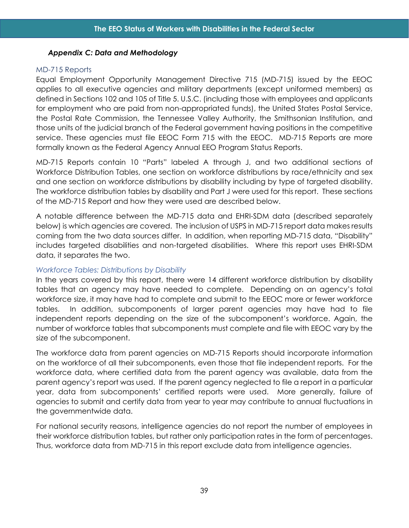#### <span id="page-45-0"></span>*Appendix C: Data and Methodology*

#### <span id="page-45-1"></span>MD-715 Reports

Equal Employment Opportunity Management Directive 715 (MD-715) issued by the EEOC applies to all executive agencies and military departments (except uniformed members) as defined in Sections 102 and 105 of Title 5. U.S.C. (including those with employees and applicants for employment who are paid from non-appropriated funds), the United States Postal Service, the Postal Rate Commission, the Tennessee Valley Authority, the Smithsonian Institution, and those units of the judicial branch of the Federal government having positions in the competitive service. These agencies must file EEOC Form 715 with the EEOC. MD-715 Reports are more formally known as the Federal Agency Annual EEO Program Status Reports.

MD-715 Reports contain 10 "Parts" labeled A through J, and two additional sections of Workforce Distribution Tables, one section on workforce distributions by race/ethnicity and sex and one section on workforce distributions by disability including by type of targeted disability. The workforce distribution tables by disability and Part J were used for this report. These sections of the MD-715 Report and how they were used are described below.

A notable difference between the MD-715 data and EHRI-SDM data (described separately below) is which agencies are covered. The inclusion of USPS in MD-715 report data makes results coming from the two data sources differ. In addition, when reporting MD-715 data, "Disability" includes targeted disabilities and non-targeted disabilities. Where this report uses EHRI-SDM data, it separates the two.

## *Workforce Tables: Distributions by Disability*

In the years covered by this report, there were 14 different workforce distribution by disability tables that an agency may have needed to complete. Depending on an agency's total workforce size, it may have had to complete and submit to the EEOC more or fewer workforce tables. In addition, subcomponents of larger parent agencies may have had to file independent reports depending on the size of the subcomponent's workforce. Again, the number of workforce tables that subcomponents must complete and file with EEOC vary by the size of the subcomponent.

The workforce data from parent agencies on MD-715 Reports should incorporate information on the workforce of all their subcomponents, even those that file independent reports. For the workforce data, where certified data from the parent agency was available, data from the parent agency's report was used. If the parent agency neglected to file a report in a particular year, data from subcomponents' certified reports were used. More generally, failure of agencies to submit and certify data from year to year may contribute to annual fluctuations in the governmentwide data.

For national security reasons, intelligence agencies do not report the number of employees in their workforce distribution tables, but rather only participation rates in the form of percentages. Thus, workforce data from MD-715 in this report exclude data from intelligence agencies.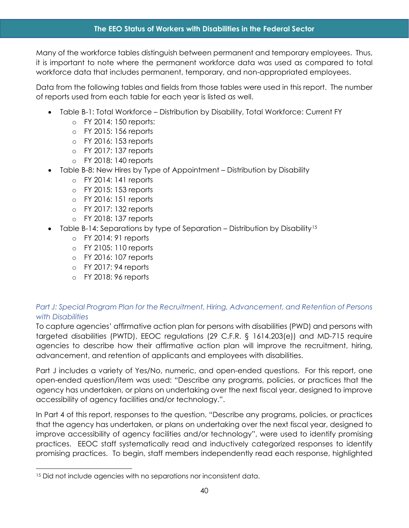Many of the workforce tables distinguish between permanent and temporary employees. Thus, it is important to note where the permanent workforce data was used as compared to total workforce data that includes permanent, temporary, and non-appropriated employees.

Data from the following tables and fields from those tables were used in this report. The number of reports used from each table for each year is listed as well.

- Table B-1: Total Workforce Distribution by Disability, Total Workforce: Current FY
	- o FY 2014: 150 reports:
	- o FY 2015: 156 reports
	- o FY 2016: 153 reports
	- o FY 2017: 137 reports
	- o FY 2018: 140 reports
- Table B-8: New Hires by Type of Appointment Distribution by Disability
	- o FY 2014: 141 reports
	- o FY 2015: 153 reports
	- o FY 2016: 151 reports
	- o FY 2017: 132 reports
	- o FY 2018: 137 reports
- Table B-14: Separations by type of Separation Distribution by Disability[15](#page-46-0)
	- o FY 2014: 91 reports
	- o FY 2105: 110 reports
	- o FY 2016: 107 reports
	- o FY 2017: 94 reports
	- o FY 2018: 96 reports

# *Part J: Special Program Plan for the Recruitment, Hiring, Advancement, and Retention of Persons with Disabilities*

To capture agencies' affirmative action plan for persons with disabilities (PWD) and persons with targeted disabilities (PWTD), EEOC regulations (29 C.F.R. § 1614.203(e)) and MD-715 require agencies to describe how their affirmative action plan will improve the recruitment, hiring, advancement, and retention of applicants and employees with disabilities.

Part J includes a variety of Yes/No, numeric, and open-ended questions. For this report, one open-ended question/item was used: "Describe any programs, policies, or practices that the agency has undertaken, or plans on undertaking over the next fiscal year, designed to improve accessibility of agency facilities and/or technology.".

In Part 4 of this report, responses to the question, "Describe any programs, policies, or practices that the agency has undertaken, or plans on undertaking over the next fiscal year, designed to improve accessibility of agency facilities and/or technology", were used to identify promising practices. EEOC staff systematically read and inductively categorized responses to identify promising practices. To begin, staff members independently read each response, highlighted

<span id="page-46-0"></span><sup>&</sup>lt;sup>15</sup> Did not include agencies with no separations nor inconsistent data.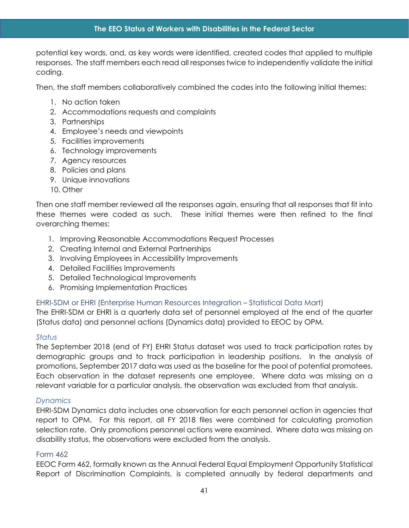potential key words, and, as key words were identified, created codes that applied to multiple responses. The staff members each read all responses twice to independently validate the initial coding.

Then, the staff members collaboratively combined the codes into the following initial themes:

- 1. No action taken
- 2. Accommodations requests and complaints
- 3. Partnerships
- 4. Employee's needs and viewpoints
- 5. Facilities improvements
- 6. Technology improvements
- 7. Agency resources
- 8. Policies and plans
- 9. Unique innovations
- 10. Other

Then one staff member reviewed all the responses again, ensuring that all responses that fit into these themes were coded as such. These initial themes were then refined to the final overarching themes:

- 1. Improving Reasonable Accommodations Request Processes
- 2. Creating Internal and External Partnerships
- 3. Involving Employees in Accessibility Improvements
- 4. Detailed Facilities Improvements
- 5. Detailed Technological Improvements
- 6. Promising Implementation Practices

## <span id="page-47-0"></span>EHRI-SDM or EHRI (Enterprise Human Resources Integration – Statistical Data Mart)

The EHRI-SDM or EHRI is a quarterly data set of personnel employed at the end of the quarter (Status data) and personnel actions (Dynamics data) provided to EEOC by OPM.

#### *Status*

The September 2018 (end of FY) EHRI Status dataset was used to track participation rates by demographic groups and to track participation in leadership positions. In the analysis of promotions, September 2017 data was used as the baseline for the pool of potential promotees. Each observation in the dataset represents one employee. Where data was missing on a relevant variable for a particular analysis, the observation was excluded from that analysis.

#### *Dynamics*

EHRI-SDM Dynamics data includes one observation for each personnel action in agencies that report to OPM. For this report, all FY 2018 files were combined for calculating promotion selection rate. Only promotions personnel actions were examined. Where data was missing on disability status, the observations were excluded from the analysis.

#### <span id="page-47-1"></span>Form 462

EEOC Form 462, formally known as the Annual Federal Equal Employment Opportunity Statistical Report of Discrimination Complaints, is completed annually by federal departments and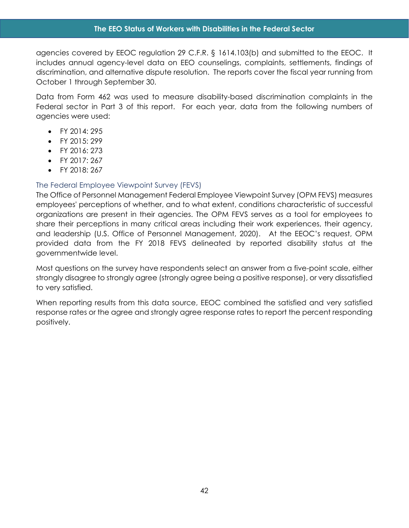agencies covered by EEOC regulation 29 C.F.R. § 1614.103(b) and submitted to the EEOC. It includes annual agency-level data on EEO counselings, complaints, settlements, findings of discrimination, and alternative dispute resolution. The reports cover the fiscal year running from October 1 through September 30.

Data from Form 462 was used to measure disability-based discrimination complaints in the Federal sector in Part 3 of this report. For each year, data from the following numbers of agencies were used:

- FY 2014: 295
- $\bullet$  FY 2015: 299
- FY 2016: 273
- FY 2017: 267
- FY 2018: 267

#### <span id="page-48-0"></span>The Federal Employee Viewpoint Survey (FEVS)

The Office of Personnel Management Federal Employee Viewpoint Survey (OPM FEVS) measures employees' perceptions of whether, and to what extent, conditions characteristic of successful organizations are present in their agencies. The OPM FEVS serves as a tool for employees to share their perceptions in many critical areas including their work experiences, their agency, and leadership (U.S. Office of Personnel Management, 2020). At the EEOC's request, OPM provided data from the FY 2018 FEVS delineated by reported disability status at the governmentwide level.

Most questions on the survey have respondents select an answer from a five-point scale, either strongly disagree to strongly agree (strongly agree being a positive response), or very dissatisfied to very satisfied.

When reporting results from this data source, EEOC combined the satisfied and very satisfied response rates or the agree and strongly agree response rates to report the percent responding positively.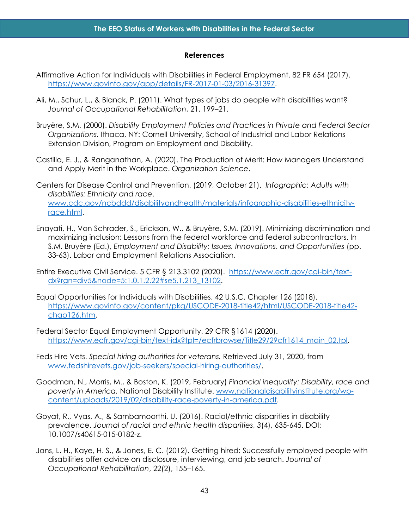#### **References**

- <span id="page-49-0"></span>Affirmative Action for Individuals with Disabilities in Federal Employment. 82 FR 654 (2017). [https://www.govinfo.gov/app/details/FR-2017-01-03/2016-31397.](https://www.govinfo.gov/app/details/FR-2017-01-03/2016-31397)
- Ali, M., Schur, L., & Blanck, P. (2011). What types of jobs do people with disabilities want? *Journal of Occupational Rehabilitation*, 21, 199–21.
- Bruyère, S.M. (2000). *Disability Employment Policies and Practices in Private and Federal Sector Organizations.* Ithaca, NY: Cornell University, School of Industrial and Labor Relations Extension Division, Program on Employment and Disability.
- Castilla, E. J., & Ranganathan, A. (2020). The Production of Merit: How Managers Understand and Apply Merit in the Workplace. *Organization Science*.
- Centers for Disease Control and Prevention. (2019, October 21). *Infographic: Adults with disabilities: Ethnicity and race*. [www.cdc.gov/ncbddd/disabilityandhealth/materials/infographic-disabilities-ethnicity](http://www.cdc.gov/ncbddd/disabilityandhealth/materials/infographic-disabilities-ethnicity-race.html)[race.html.](http://www.cdc.gov/ncbddd/disabilityandhealth/materials/infographic-disabilities-ethnicity-race.html)
- Enayati, H., Von Schrader, S., Erickson, W., & Bruyère, S.M. (2019). Minimizing discrimination and maximizing inclusion: Lessons from the federal workforce and federal subcontractors. In S.M. Bruyère (Ed.), *Employment and Disability: Issues, Innovations, and Opportunities* (pp. 33-63). Labor and Employment Relations Association.
- Entire Executive Civil Service. 5 CFR § 213.3102 (2020). [https://www.ecfr.gov/cgi-bin/text](https://www.ecfr.gov/cgi-bin/text-dx?rgn=div5&node=5:1.0.1.2.22#se5.1.213_13102)[dx?rgn=div5&node=5:1.0.1.2.22#se5.1.213\\_13102.](https://www.ecfr.gov/cgi-bin/text-dx?rgn=div5&node=5:1.0.1.2.22#se5.1.213_13102)
- Equal Opportunities for Individuals with Disabilities. 42 U.S.C. Chapter 126 (2018). [https://www.govinfo.gov/content/pkg/USCODE-2018-title42/html/USCODE-2018-title42](https://www.govinfo.gov/content/pkg/USCODE-2018-title42/html/USCODE-2018-title42-chap126.htm) [chap126.htm.](https://www.govinfo.gov/content/pkg/USCODE-2018-title42/html/USCODE-2018-title42-chap126.htm)
- Federal Sector Equal Employment Opportunity. 29 CFR §1614 (2020). [https://www.ecfr.gov/cgi-bin/text-idx?tpl=/ecfrbrowse/Title29/29cfr1614\\_main\\_02.tpl.](https://www.ecfr.gov/cgi-bin/text-idx?tpl=/ecfrbrowse/Title29/29cfr1614_main_02.tpl)
- Feds Hire Vets. *Special hiring authorities for veterans.* Retrieved July 31, 2020, from [www.fedshirevets.gov/job-seekers/special-hiring-authorities/.](http://www.fedshirevets.gov/job-seekers/special-hiring-authorities/)
- Goodman, N., Morris, M., & Boston, K. (2019, February) *Financial inequality: Disability, race and poverty in America.* National Disability Institute. [www.nationaldisabilityinstitute.org/wp](http://www.nationaldisabilityinstitute.org/wp-content/uploads/2019/02/disability-race-poverty-in-america.pdf)[content/uploads/2019/02/disability-race-poverty-in-america.pdf.](http://www.nationaldisabilityinstitute.org/wp-content/uploads/2019/02/disability-race-poverty-in-america.pdf)
- Goyat, R., Vyas, A., & Sambamoorthi, U. (2016). Racial/ethnic disparities in disability prevalence. *Journal of racial and ethnic health disparities*, *3*(4), 635-645. DOI: 10.1007/s40615-015-0182-z.
- Jans, L. H., Kaye, H. S., & Jones, E. C. (2012). Getting hired: Successfully employed people with disabilities offer advice on disclosure, interviewing, and job search. *Journal of Occupational Rehabilitation*, 22(2), 155–165.